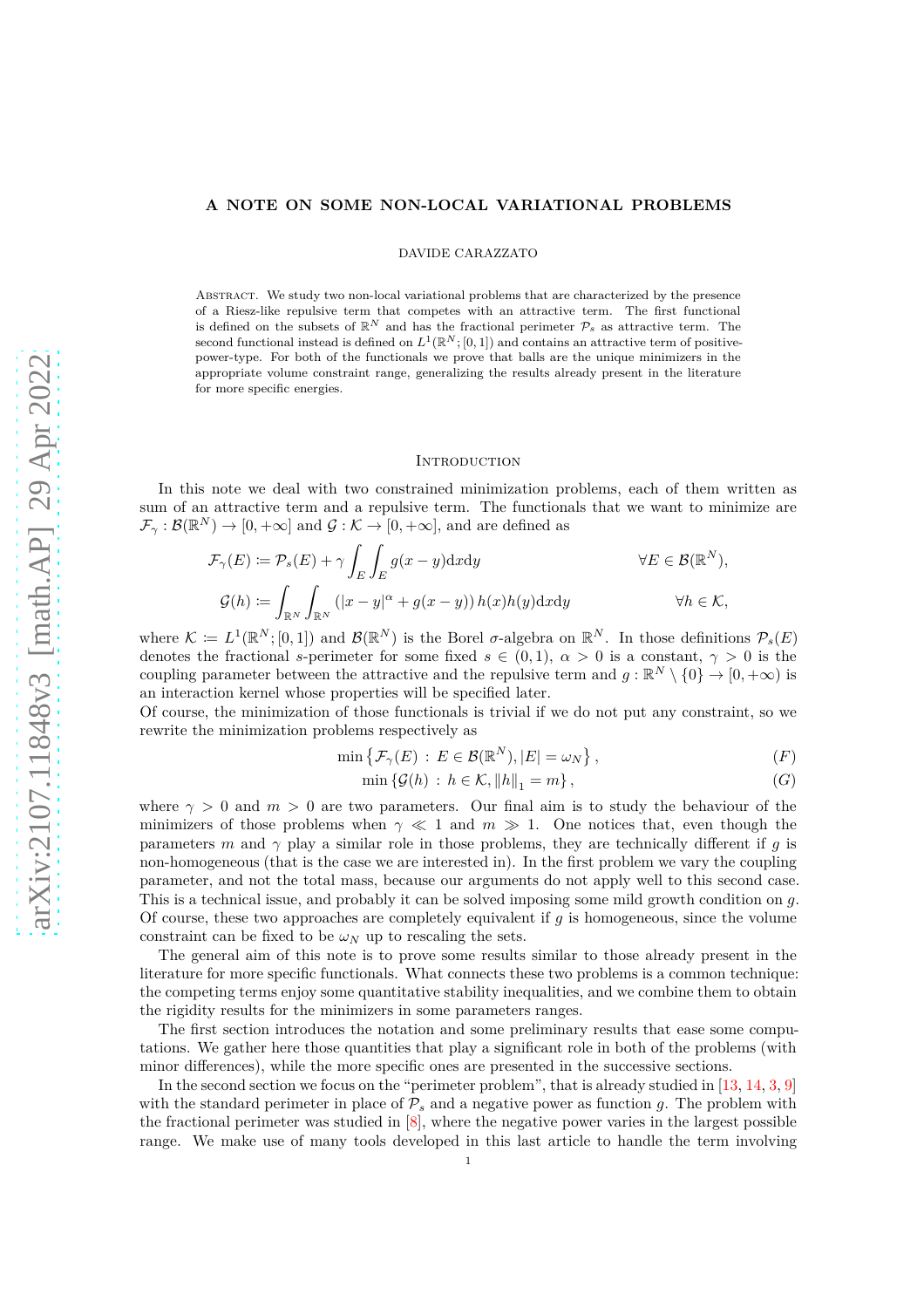## **A NOTE ON SOME NON-LOCAL VARIATIONAL PROBLEMS**

DAVIDE CARAZZATO

Abstract. We study two non-local variational problems that are characterized by the presence of a Riesz-like repulsive term that competes with an attractive term. The first functional is defined on the subsets of  $\mathbb{R}^N$  and has the fractional perimeter  $\mathcal{P}_s$  as attractive term. The second functional instead is defined on  $L^1(\mathbb{R}^N;[0,1])$  and contains an attractive term of positivepower-type. For both of the functionals we prove that balls are the unique minimizers in the appropriate volume constraint range, generalizing the results already present in the literature for more specific energies.

### **INTRODUCTION**

In this note we deal with two constrained minimization problems, each of them written as sum of an attractive term and a repulsive term. The functionals that we want to minimize are  $\mathcal{F}_{\gamma}: \mathcal{B}(\mathbb{R}^N) \to [0, +\infty]$  and  $\mathcal{G}: \mathcal{K} \to [0, +\infty]$ , and are defined as

$$
\mathcal{F}_{\gamma}(E) := \mathcal{P}_{s}(E) + \gamma \int_{E} \int_{E} g(x - y) \, dx \, dy \qquad \forall E \in \mathcal{B}(\mathbb{R}^{N}),
$$

$$
\mathcal{G}(h) := \int_{\mathbb{R}^{N}} \int_{\mathbb{R}^{N}} \left( |x - y|^{\alpha} + g(x - y) \right) h(x) h(y) \, dx \, dy \qquad \forall h \in \mathcal{K},
$$

where  $\mathcal{K} \coloneqq L^1(\mathbb{R}^N;[0,1])$  and  $\mathcal{B}(\mathbb{R}^N)$  is the Borel  $\sigma$ -algebra on  $\mathbb{R}^N$ . In those definitions  $\mathcal{P}_s(E)$ denotes the fractional *s*-perimeter for some fixed  $s \in (0,1)$ ,  $\alpha > 0$  is a constant,  $\gamma > 0$  is the coupling parameter between the attractive and the repulsive term and  $g : \mathbb{R}^N \setminus \{0\} \to [0, +\infty)$  is an interaction kernel whose properties will be specified later.

Of course, the minimization of those functionals is trivial if we do not put any constraint, so we rewrite the minimization problems respectively as

$$
\min\left\{\mathcal{F}_{\gamma}(E) : E \in \mathcal{B}(\mathbb{R}^N), |E| = \omega_N\right\},\tag{F}
$$

<span id="page-0-1"></span><span id="page-0-0"></span>
$$
\min \left\{ \mathcal{G}(h) : h \in \mathcal{K}, ||h||_1 = m \right\},\tag{G}
$$

where  $\gamma > 0$  and  $m > 0$  are two parameters. Our final aim is to study the behaviour of the minimizers of those problems when  $\gamma \ll 1$  and  $m \gg 1$ . One notices that, even though the parameters *m* and  $\gamma$  play a similar role in those problems, they are technically different if *g* is non-homogeneous (that is the case we are interested in). In the first problem we vary the coupling parameter, and not the total mass, because our arguments do not apply well to this second case. This is a technical issue, and probably it can be solved imposing some mild growth condition on *g*. Of course, these two approaches are completely equivalent if *g* is homogeneous, since the volume constraint can be fixed to be  $\omega_N$  up to rescaling the sets.

The general aim of this note is to prove some results similar to those already present in the literature for more specific functionals. What connects these two problems is a common technique: the competing terms enjoy some quantitative stability inequalities, and we combine them to obtain the rigidity results for the minimizers in some parameters ranges.

The first section introduces the notation and some preliminary results that ease some computations. We gather here those quantities that play a significant role in both of the problems (with minor differences), while the more specific ones are presented in the successive sections.

In the second section we focus on the "perimeter problem", that is already studied in [\[13,](#page-18-0) [14,](#page-18-1) [3,](#page-17-0) [9\]](#page-18-2) with the standard perimeter in place of  $\mathcal{P}_s$  and a negative power as function *g*. The problem with the fractional perimeter was studied in [\[8\]](#page-17-1), where the negative power varies in the largest possible range. We make use of many tools developed in this last article to handle the term involving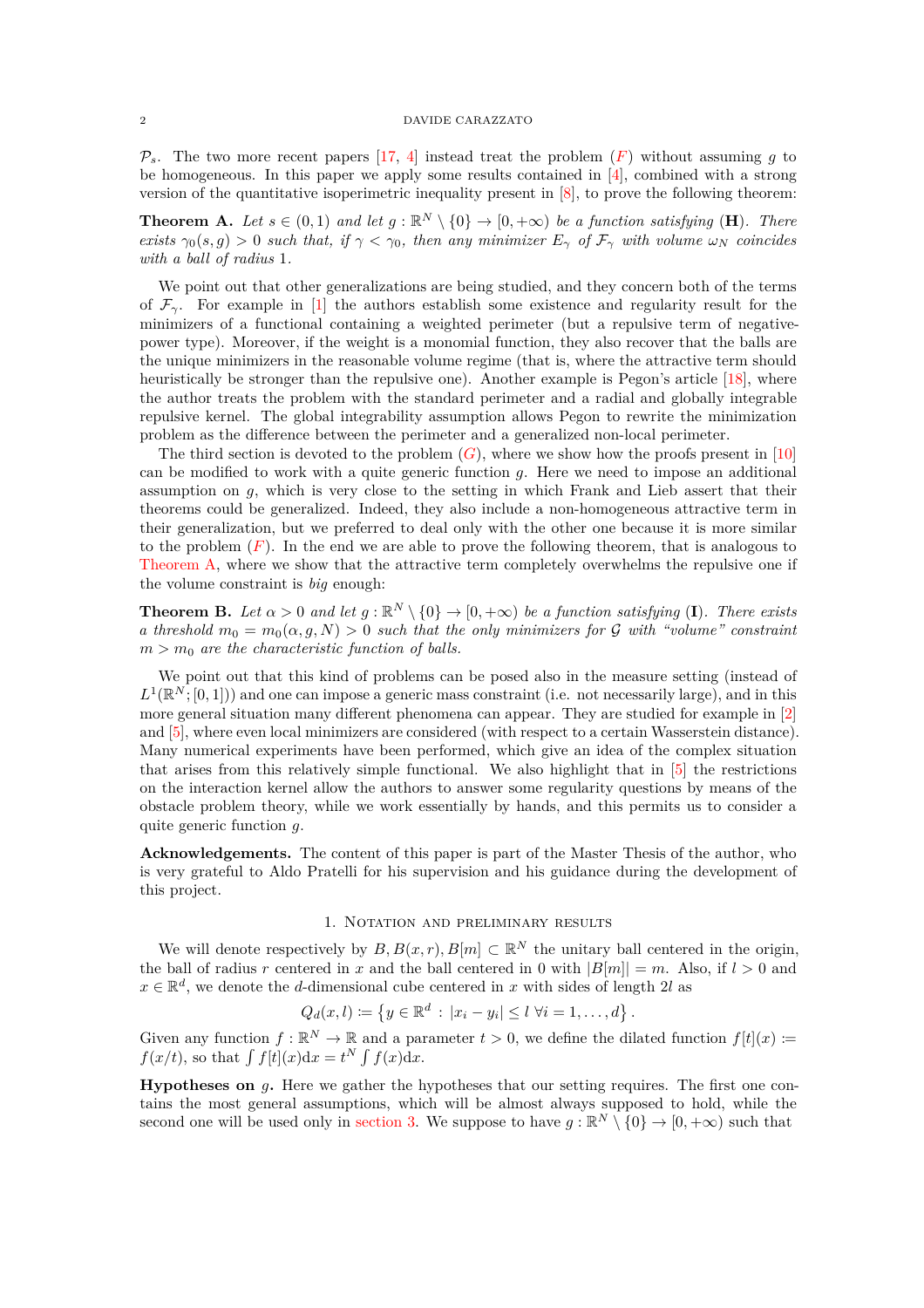$\mathcal{P}_s$ . The two more recent papers [\[17,](#page-18-3) [4\]](#page-17-2) instead treat the problem  $(F)$  $(F)$  $(F)$  without assuming *g* to be homogeneous. In this paper we apply some results contained in [\[4\]](#page-17-2), combined with a strong version of the quantitative isoperimetric inequality present in [\[8\]](#page-17-1), to prove the following theorem:

<span id="page-1-0"></span>**Theorem A.** Let  $s \in (0,1)$  and let  $g : \mathbb{R}^N \setminus \{0\} \to [0,+\infty)$  be a function satisfying (**H**). There *exists*  $\gamma_0(s, g) > 0$  *such that, if*  $\gamma < \gamma_0$ *, then any minimizer*  $E_\gamma$  *of*  $\mathcal{F}_\gamma$  *with volume*  $\omega_N$  *coincides with a ball of radius* 1*.*

We point out that other generalizations are being studied, and they concern both of the terms of  $\mathcal{F}_{\gamma}$ . For example in [\[1\]](#page-17-3) the authors establish some existence and regularity result for the minimizers of a functional containing a weighted perimeter (but a repulsive term of negativepower type). Moreover, if the weight is a monomial function, they also recover that the balls are the unique minimizers in the reasonable volume regime (that is, where the attractive term should heuristically be stronger than the repulsive one). Another example is Pegon's article [\[18\]](#page-18-4), where the author treats the problem with the standard perimeter and a radial and globally integrable repulsive kernel. The global integrability assumption allows Pegon to rewrite the minimization problem as the difference between the perimeter and a generalized non-local perimeter.

The third section is devoted to the problem  $(G)$  $(G)$  $(G)$ , where we show how the proofs present in [\[10\]](#page-18-5) can be modified to work with a quite generic function *g*. Here we need to impose an additional assumption on *g*, which is very close to the setting in which Frank and Lieb assert that their theorems could be generalized. Indeed, they also include a non-homogeneous attractive term in their generalization, but we preferred to deal only with the other one because it is more similar to the problem (*[F](#page-0-0)*). In the end we are able to prove the following theorem, that is analogous to [Theorem A,](#page-1-0) where we show that the attractive term completely overwhelms the repulsive one if the volume constraint is *big* enough:

<span id="page-1-1"></span>**Theorem B.** Let  $\alpha > 0$  and let  $g : \mathbb{R}^N \setminus \{0\} \to [0, +\infty)$  be a function satisfying (I). There exists *a threshold*  $m_0 = m_0(\alpha, g, N) > 0$  *such that the only minimizers for* G *with "volume" constraint*  $m > m_0$  *are the characteristic function of balls.* 

We point out that this kind of problems can be posed also in the measure setting (instead of  $L^1(\mathbb{R}^N;[0,1])$  and one can impose a generic mass constraint (i.e. not necessarily large), and in this more general situation many different phenomena can appear. They are studied for example in [\[2\]](#page-17-4) and [\[5\]](#page-17-5), where even local minimizers are considered (with respect to a certain Wasserstein distance). Many numerical experiments have been performed, which give an idea of the complex situation that arises from this relatively simple functional. We also highlight that in [\[5\]](#page-17-5) the restrictions on the interaction kernel allow the authors to answer some regularity questions by means of the obstacle problem theory, while we work essentially by hands, and this permits us to consider a quite generic function *g*.

**Acknowledgements.** The content of this paper is part of the Master Thesis of the author, who is very grateful to Aldo Pratelli for his supervision and his guidance during the development of this project.

# 1. Notation and preliminary results

We will denote respectively by  $B, B(x, r), B[m] \subset \mathbb{R}^N$  the unitary ball centered in the origin, the ball of radius *r* centered in *x* and the ball centered in 0 with  $|B[m]| = m$ . Also, if  $l > 0$  and  $x \in \mathbb{R}^d$ , we denote the *d*-dimensional cube centered in *x* with sides of length 2*l* as

$$
Q_d(x, l) \coloneqq \{ y \in \mathbb{R}^d : |x_i - y_i| \le l \ \forall i = 1, ..., d \}.
$$

Given any function  $f: \mathbb{R}^N \to \mathbb{R}$  and a parameter  $t > 0$ , we define the dilated function  $f[t](x) :=$  $f(x/t)$ , so that  $\int f[t](x)dx = t^N \int f(x)dx$ .

**Hypotheses on** *g***.** Here we gather the hypotheses that our setting requires. The first one contains the most general assumptions, which will be almost always supposed to hold, while the second one will be used only in [section 3.](#page-8-0) We suppose to have  $g : \mathbb{R}^N \setminus \{0\} \to [0, +\infty)$  such that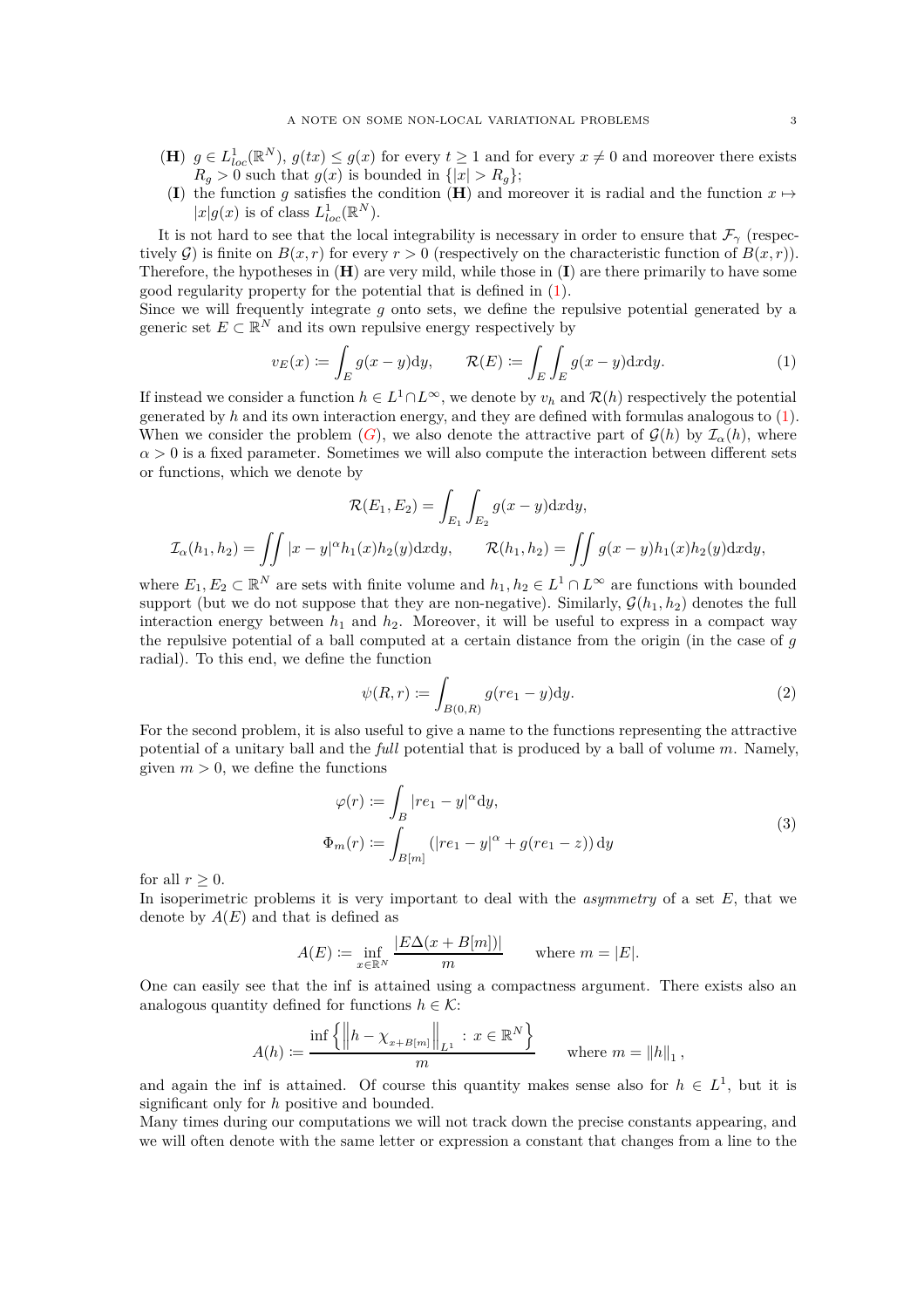- (**H**)  $g \in L^1_{loc}(\mathbb{R}^N)$ ,  $g(tx) \leq g(x)$  for every  $t \geq 1$  and for every  $x \neq 0$  and moreover there exists  $R_q > 0$  such that  $g(x)$  is bounded in  $\{|x| > R_q\};$
- (**I**) the function *g* satisfies the condition (**H**) and moreover it is radial and the function  $x \mapsto$  $|x|g(x)$  is of class  $L_{loc}^1(\mathbb{R}^N)$ .

It is not hard to see that the local integrability is necessary in order to ensure that  $\mathcal{F}_{\gamma}$  (respectively  $G$ ) is finite on  $B(x, r)$  for every  $r > 0$  (respectively on the characteristic function of  $B(x, r)$ ). Therefore, the hypotheses in (**H**) are very mild, while those in (**I**) are there primarily to have some good regularity property for the potential that is defined in [\(1\)](#page-2-0).

Since we will frequently integrate *g* onto sets, we define the repulsive potential generated by a generic set  $E \subset \mathbb{R}^N$  and its own repulsive energy respectively by

<span id="page-2-0"></span>
$$
v_E(x) := \int_E g(x - y) dy, \qquad \mathcal{R}(E) := \int_E \int_E g(x - y) dx dy.
$$
 (1)

If instead we consider a function  $h \in L^1 \cap L^{\infty}$ , we denote by  $v_h$  and  $\mathcal{R}(h)$  respectively the potential generated by *h* and its own interaction energy, and they are defined with formulas analogous to [\(1\)](#page-2-0). When we consider the problem  $(G)$  $(G)$  $(G)$ , we also denote the attractive part of  $\mathcal{G}(h)$  by  $\mathcal{I}_{\alpha}(h)$ , where  $\alpha > 0$  is a fixed parameter. Sometimes we will also compute the interaction between different sets or functions, which we denote by

$$
\mathcal{R}(E_1, E_2) = \int_{E_1} \int_{E_2} g(x - y) \mathrm{d}x \mathrm{d}y,
$$
  

$$
\mathcal{I}_{\alpha}(h_1, h_2) = \iint |x - y|^{\alpha} h_1(x) h_2(y) \mathrm{d}x \mathrm{d}y, \qquad \mathcal{R}(h_1, h_2) = \iint g(x - y) h_1(x) h_2(y) \mathrm{d}x \mathrm{d}y,
$$

where  $E_1, E_2 \subset \mathbb{R}^N$  are sets with finite volume and  $h_1, h_2 \in L^1 \cap L^\infty$  are functions with bounded support (but we do not suppose that they are non-negative). Similarly,  $\mathcal{G}(h_1, h_2)$  denotes the full interaction energy between  $h_1$  and  $h_2$ . Moreover, it will be useful to express in a compact way the repulsive potential of a ball computed at a certain distance from the origin (in the case of *g* radial). To this end, we define the function

<span id="page-2-1"></span>
$$
\psi(R,r) \coloneqq \int_{B(0,R)} g(re_1 - y) \mathrm{d}y. \tag{2}
$$

For the second problem, it is also useful to give a name to the functions representing the attractive potential of a unitary ball and the *full* potential that is produced by a ball of volume *m*. Namely, given  $m > 0$ , we define the functions

$$
\varphi(r) := \int_B |re_1 - y|^{\alpha} dy,
$$
  
\n
$$
\Phi_m(r) := \int_{B[m]} (|re_1 - y|^{\alpha} + g(re_1 - z)) dy
$$
\n(3)

<span id="page-2-2"></span>for all  $r > 0$ .

In isoperimetric problems it is very important to deal with the *asymmetry* of a set *E*, that we denote by  $A(E)$  and that is defined as

$$
A(E) \coloneqq \inf_{x \in \mathbb{R}^N} \frac{|E\Delta(x + B[m])|}{m} \quad \text{where } m = |E|.
$$

One can easily see that the inf is attained using a compactness argument. There exists also an analogous quantity defined for functions  $h \in \mathcal{K}$ :

$$
A(h) \coloneqq \frac{\inf \left\{ \left\| h - \chi_{x + B[m]} \right\|_{L^1} \, : \, x \in \mathbb{R}^N \right\}}{m} \qquad \text{where } m = \left\| h \right\|_1,
$$

and again the inf is attained. Of course this quantity makes sense also for  $h \in L^1$ , but it is significant only for *h* positive and bounded.

Many times during our computations we will not track down the precise constants appearing, and we will often denote with the same letter or expression a constant that changes from a line to the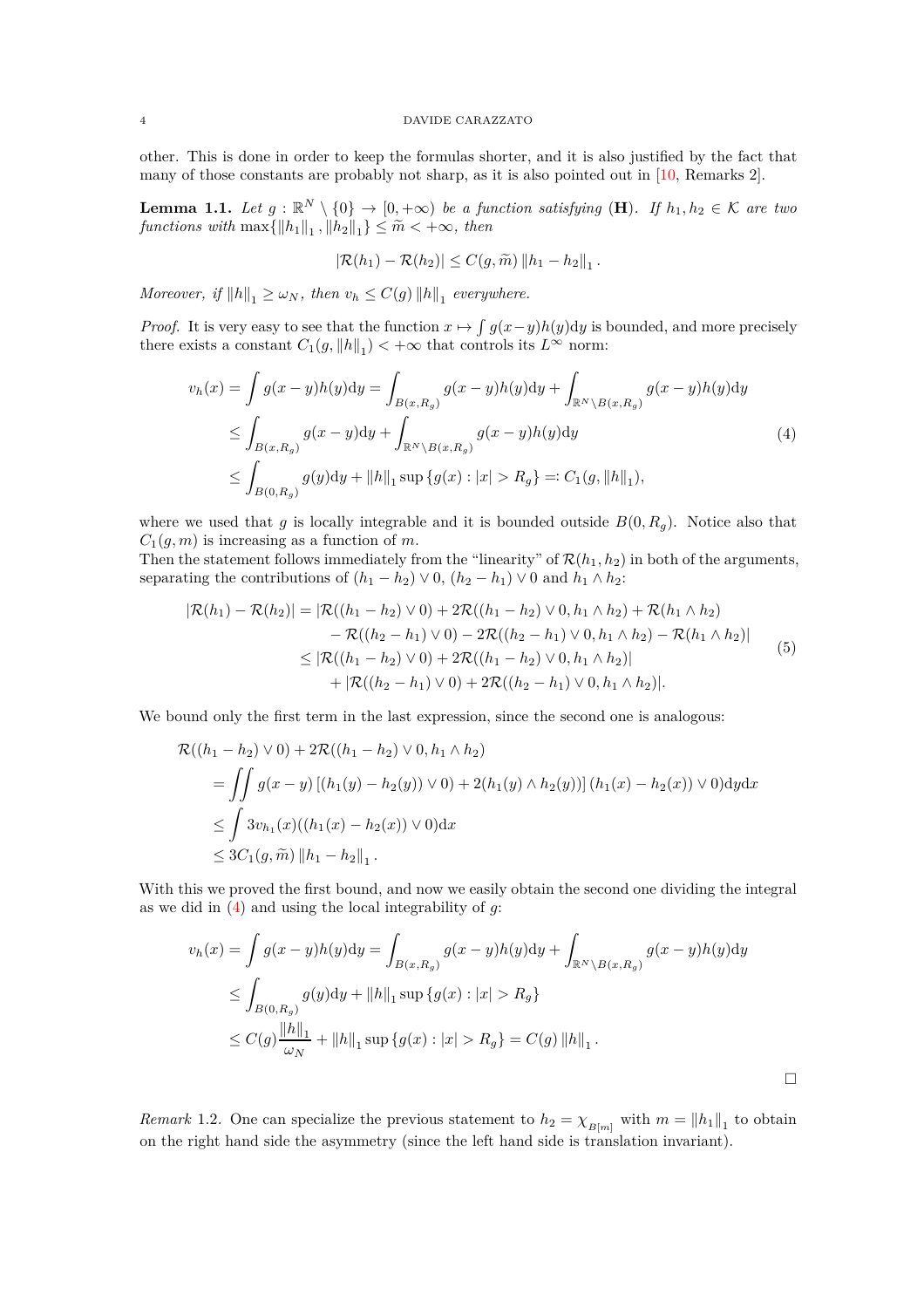other. This is done in order to keep the formulas shorter, and it is also justified by the fact that many of those constants are probably not sharp, as it is also pointed out in [\[10,](#page-18-5) Remarks 2].

<span id="page-3-1"></span>**Lemma 1.1.** *Let*  $g : \mathbb{R}^N \setminus \{0\} \to [0, +\infty)$  *be a function satisfying* (**H**)*. If*  $h_1, h_2 \in \mathcal{K}$  *are two*  $\text{functions with } \max\{\|h_1\|_1, \|h_2\|_1\} \leq \tilde{m} < +\infty, \text{ then}$ 

$$
|\mathcal{R}(h_1) - \mathcal{R}(h_2)| \leq C(g, \widetilde{m}) \|h_1 - h_2\|_1.
$$

*Moreover, if*  $||h||_1 \ge \omega_N$ *, then*  $v_h \le C(g) ||h||_1$  everywhere.

*Proof.* It is very easy to see that the function  $x \mapsto \int g(x-y)h(y)dy$  is bounded, and more precisely there exists a constant  $C_1(g, \|h\|_1) < +\infty$  that controls its  $L^{\infty}$  norm:

<span id="page-3-0"></span>
$$
v_h(x) = \int g(x - y)h(y)dy = \int_{B(x, R_g)} g(x - y)h(y)dy + \int_{\mathbb{R}^N \setminus B(x, R_g)} g(x - y)h(y)dy
$$
  
\n
$$
\leq \int_{B(x, R_g)} g(x - y)dy + \int_{\mathbb{R}^N \setminus B(x, R_g)} g(x - y)h(y)dy
$$
  
\n
$$
\leq \int_{B(0, R_g)} g(y)dy + ||h||_1 \sup \{g(x) : |x| > R_g\} =: C_1(g, ||h||_1),
$$
\n(4)

where we used that *g* is locally integrable and it is bounded outside  $B(0, R_q)$ . Notice also that  $C_1(q, m)$  is increasing as a function of *m*.

Then the statement follows immediately from the "linearity" of  $\mathcal{R}(h_1, h_2)$  in both of the arguments, separating the contributions of  $(h_1 - h_2) \vee 0$ ,  $(h_2 - h_1) \vee 0$  and  $h_1 \wedge h_2$ :

<span id="page-3-3"></span>
$$
|\mathcal{R}(h_1) - \mathcal{R}(h_2)| = |\mathcal{R}((h_1 - h_2) \vee 0) + 2\mathcal{R}((h_1 - h_2) \vee 0, h_1 \wedge h_2) + \mathcal{R}(h_1 \wedge h_2)
$$
  
\n
$$
- \mathcal{R}((h_2 - h_1) \vee 0) - 2\mathcal{R}((h_2 - h_1) \vee 0, h_1 \wedge h_2) - \mathcal{R}(h_1 \wedge h_2)|
$$
  
\n
$$
\leq |\mathcal{R}((h_1 - h_2) \vee 0) + 2\mathcal{R}((h_1 - h_2) \vee 0, h_1 \wedge h_2)|
$$
  
\n
$$
+ |\mathcal{R}((h_2 - h_1) \vee 0) + 2\mathcal{R}((h_2 - h_1) \vee 0, h_1 \wedge h_2)|.
$$
\n(5)

We bound only the first term in the last expression, since the second one is analogous:

$$
\mathcal{R}((h_1 - h_2) \vee 0) + 2\mathcal{R}((h_1 - h_2) \vee 0, h_1 \wedge h_2)
$$
\n
$$
= \iint g(x - y) [(h_1(y) - h_2(y)) \vee 0) + 2(h_1(y) \wedge h_2(y))] (h_1(x) - h_2(x)) \vee 0) \mathrm{d}y \mathrm{d}x
$$
\n
$$
\leq \int 3v_{h_1}(x)((h_1(x) - h_2(x)) \vee 0) \mathrm{d}x
$$
\n
$$
\leq 3C_1(g, \tilde{m}) ||h_1 - h_2||_1.
$$

With this we proved the first bound, and now we easily obtain the second one dividing the integral as we did in [\(4\)](#page-3-0) and using the local integrability of *g*:

$$
v_h(x) = \int g(x - y)h(y)dy = \int_{B(x, R_g)} g(x - y)h(y)dy + \int_{\mathbb{R}^N \setminus B(x, R_g)} g(x - y)h(y)dy
$$
  
\n
$$
\leq \int_{B(0, R_g)} g(y)dy + ||h||_1 \sup \{g(x) : |x| > R_g\}
$$
  
\n
$$
\leq C(g) \frac{||h||_1}{\omega_N} + ||h||_1 \sup \{g(x) : |x| > R_g\} = C(g) ||h||_1.
$$

<span id="page-3-2"></span>*Remark* 1.2. One can specialize the previous statement to  $h_2 = \chi_{B[m]}$  with  $m = ||h_1||_1$  to obtain on the right hand side the asymmetry (since the left hand side is translation invariant).

 $\Box$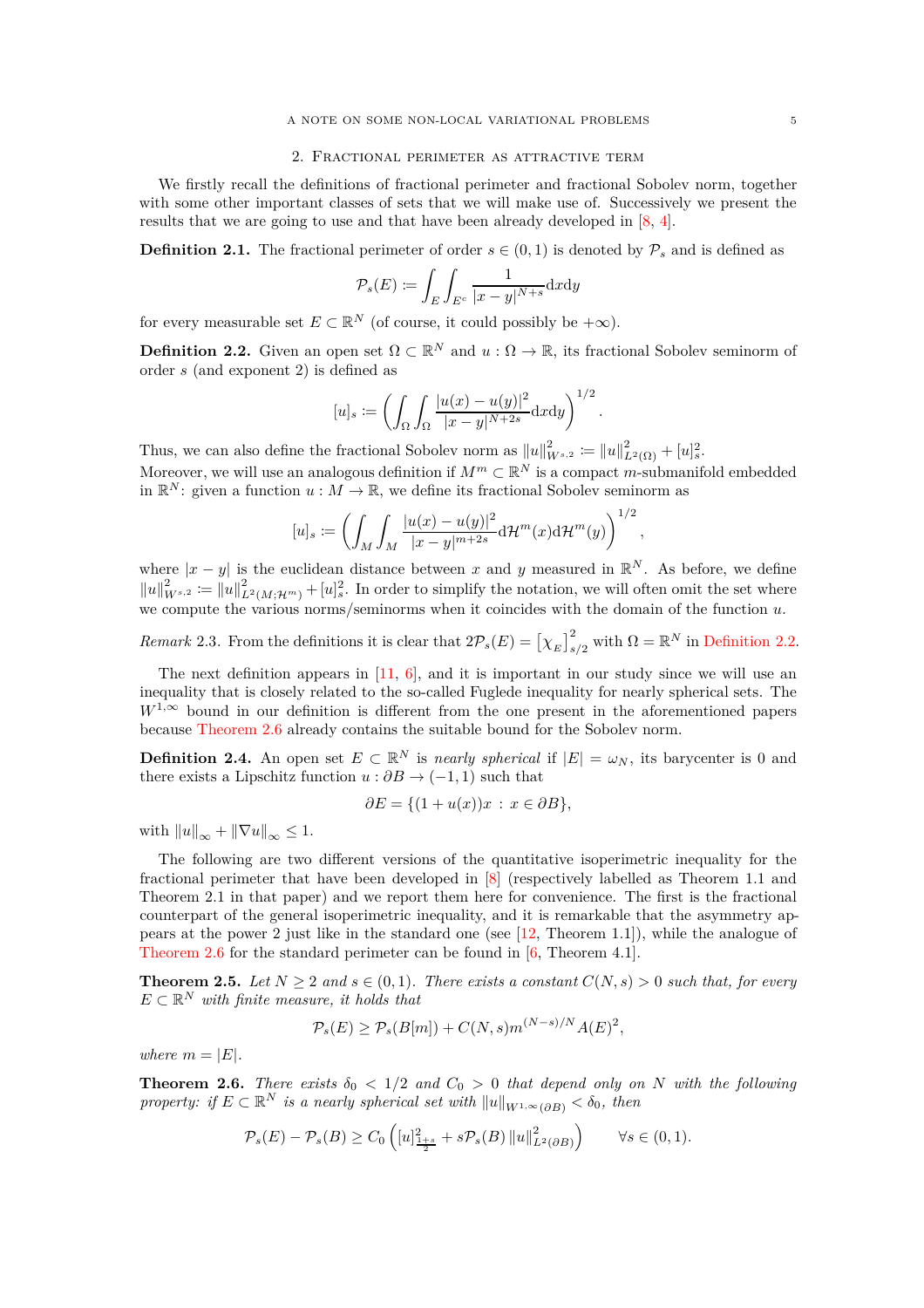# 2. Fractional perimeter as attractive term

We firstly recall the definitions of fractional perimeter and fractional Sobolev norm, together with some other important classes of sets that we will make use of. Successively we present the results that we are going to use and that have been already developed in [\[8,](#page-17-1) [4\]](#page-17-2).

**Definition 2.1.** The fractional perimeter of order  $s \in (0,1)$  is denoted by  $\mathcal{P}_s$  and is defined as

$$
\mathcal{P}_s(E) \coloneqq \int_E \int_{E^c} \frac{1}{|x-y|^{N+s}} \mathrm{d} x \mathrm{d} y
$$

for every measurable set  $E \subset \mathbb{R}^N$  (of course, it could possibly be  $+\infty$ ).

<span id="page-4-0"></span>**Definition 2.2.** Given an open set  $\Omega \subset \mathbb{R}^N$  and  $u : \Omega \to \mathbb{R}$ , its fractional Sobolev seminorm of order *s* (and exponent 2) is defined as

$$
[u]_s := \left(\int_{\Omega} \int_{\Omega} \frac{|u(x) - u(y)|^2}{|x - y|^{N+2s}} dxdy\right)^{1/2}.
$$

Thus, we can also define the fractional Sobolev norm as  $||u||_{W^{s,2}}^2 := ||u||_{L^2(\Omega)}^2 + [u]_s^2$ . Moreover, we will use an analogous definition if  $M^m \subset \mathbb{R}^N$  is a compact *m*-submanifold embedded in  $\mathbb{R}^N$ : given a function  $u : M \to \mathbb{R}$ , we define its fractional Sobolev seminorm as

$$
[u]_s \coloneqq \left( \int_M \int_M \frac{|u(x) - u(y)|^2}{|x - y|^{m+2s}} d\mathcal{H}^m(x) d\mathcal{H}^m(y) \right)^{1/2},
$$

where  $|x - y|$  is the euclidean distance between x and y measured in  $\mathbb{R}^N$ . As before, we define  $||u||_{W^{s,2}}^2 := ||u||_{L^2(M; \mathcal{H}^m)}^2 + [u]_s^2$ . In order to simplify the notation, we will often omit the set where we compute the various norms/seminorms when it coincides with the domain of the function *u*.

*Remark* 2.3. From the definitions it is clear that  $2\mathcal{P}_s(E) = \left[\chi_E\right]_{s/2}^2$  with  $\Omega = \mathbb{R}^N$  in [Definition 2.2.](#page-4-0)

The next definition appears in  $[11, 6]$  $[11, 6]$ , and it is important in our study since we will use an inequality that is closely related to the so-called Fuglede inequality for nearly spherical sets. The  $W^{1,\infty}$  bound in our definition is different from the one present in the aforementioned papers because [Theorem 2.6](#page-4-1) already contains the suitable bound for the Sobolev norm.

<span id="page-4-3"></span>**Definition 2.4.** An open set  $E \subset \mathbb{R}^N$  is *nearly spherical* if  $|E| = \omega_N$ , its barycenter is 0 and there exists a Lipschitz function  $u : \partial B \to (-1, 1)$  such that

$$
\partial E = \{ (1 + u(x))x : x \in \partial B \},\
$$

with  $||u||_{\infty} + ||\nabla u||_{\infty} \leq 1.$ 

The following are two different versions of the quantitative isoperimetric inequality for the fractional perimeter that have been developed in [\[8\]](#page-17-1) (respectively labelled as Theorem 1.1 and Theorem 2.1 in that paper) and we report them here for convenience. The first is the fractional counterpart of the general isoperimetric inequality, and it is remarkable that the asymmetry appears at the power 2 just like in the standard one (see [\[12,](#page-18-7) Theorem 1.1]), while the analogue of [Theorem 2.6](#page-4-1) for the standard perimeter can be found in [\[6,](#page-17-6) Theorem 4.1].

<span id="page-4-2"></span>**Theorem 2.5.** *Let*  $N \geq 2$  *and*  $s \in (0,1)$ *. There exists a constant*  $C(N, s) > 0$  *such that, for every*  $E \subset \mathbb{R}^N$  *with finite measure, it holds that* 

$$
\mathcal{P}_s(E) \ge \mathcal{P}_s(B[m]) + C(N, s)m^{(N-s)/N}A(E)^2,
$$

*where*  $m = |E|$ *.* 

<span id="page-4-1"></span>**Theorem 2.6.** *There exists*  $\delta_0 < 1/2$  *and*  $C_0 > 0$  *that depend only on N with the following property: if*  $E \subset \mathbb{R}^N$  *is a nearly spherical set with*  $||u||_{W^{1,\infty}(\partial B)} < \delta_0$ , then

$$
\mathcal{P}_s(E) - \mathcal{P}_s(B) \ge C_0 \left( [u]_{\frac{1+s}{2}}^2 + s \mathcal{P}_s(B) ||u||_{L^2(\partial B)}^2 \right) \qquad \forall s \in (0,1).
$$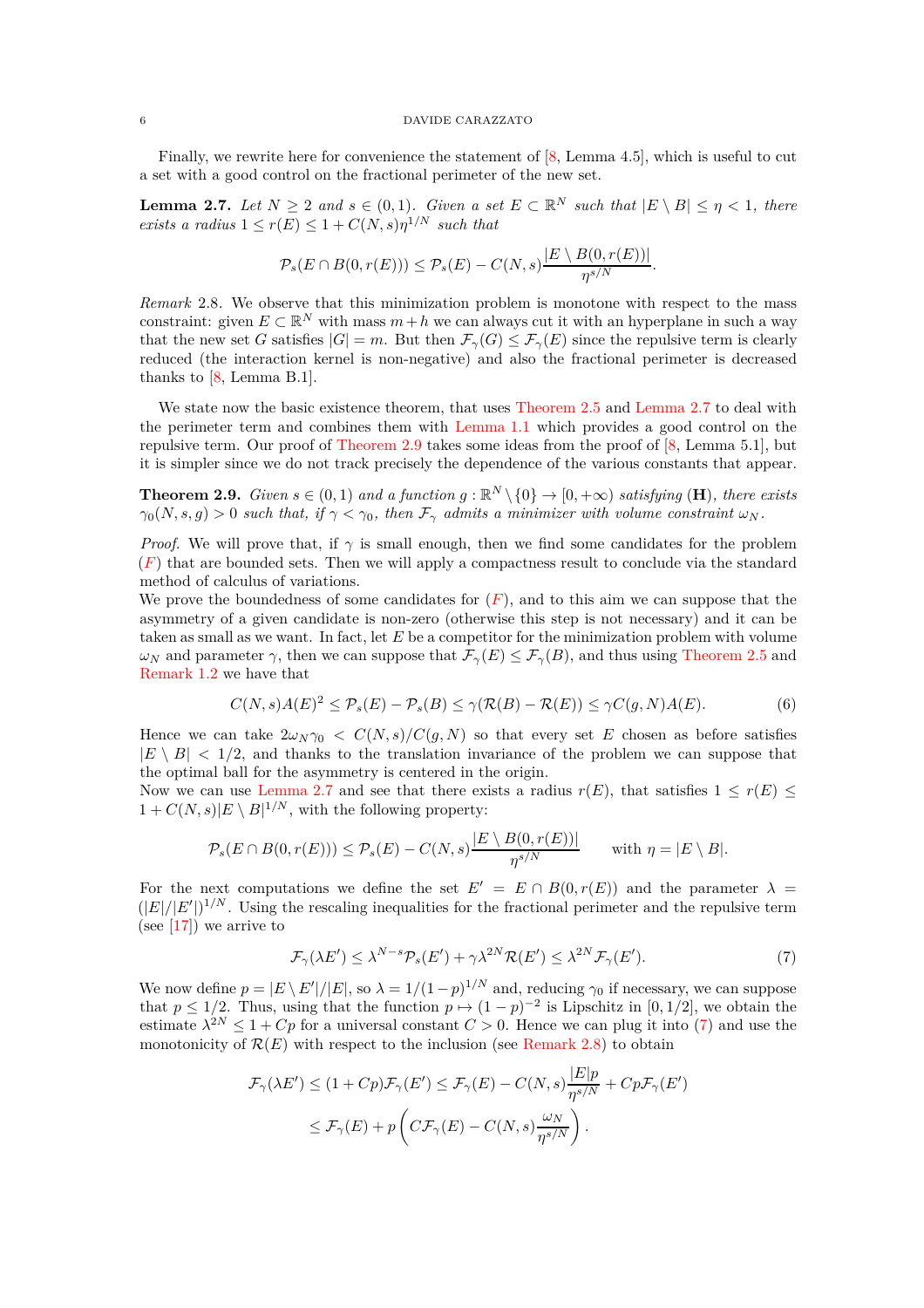Finally, we rewrite here for convenience the statement of [\[8,](#page-17-1) Lemma 4.5], which is useful to cut a set with a good control on the fractional perimeter of the new set.

<span id="page-5-0"></span>**Lemma 2.7.** Let  $N \geq 2$  and  $s \in (0,1)$ . Given a set  $E \subset \mathbb{R}^N$  such that  $|E \setminus B| \leq \eta < 1$ , there *exists a radius*  $1 \leq r(E) \leq 1 + C(N, s) \eta^{1/N}$  *such that* 

$$
\mathcal{P}_s(E \cap B(0,r(E))) \leq \mathcal{P}_s(E) - C(N,s) \frac{|E \setminus B(0,r(E))|}{\eta^{s/N}}.
$$

<span id="page-5-3"></span>*Remark* 2.8*.* We observe that this minimization problem is monotone with respect to the mass constraint: given  $E \subset \mathbb{R}^N$  with mass  $m + h$  we can always cut it with an hyperplane in such a way that the new set *G* satisfies  $|G| = m$ . But then  $\mathcal{F}_{\gamma}(G) \leq \mathcal{F}_{\gamma}(E)$  since the repulsive term is clearly reduced (the interaction kernel is non-negative) and also the fractional perimeter is decreased thanks to [\[8,](#page-17-1) Lemma B.1].

We state now the basic existence theorem, that uses [Theorem 2.5](#page-4-2) and [Lemma 2.7](#page-5-0) to deal with the perimeter term and combines them with [Lemma 1.1](#page-3-1) which provides a good control on the repulsive term. Our proof of [Theorem 2.9](#page-5-1) takes some ideas from the proof of [\[8,](#page-17-1) Lemma 5.1], but it is simpler since we do not track precisely the dependence of the various constants that appear.

<span id="page-5-1"></span>**Theorem 2.9.** *Given*  $s \in (0,1)$  *and a function*  $g : \mathbb{R}^N \setminus \{0\} \to [0,+\infty)$  *satisfying* (**H**)*, there exists*  $\gamma_0(N, s, g) > 0$  *such that, if*  $\gamma < \gamma_0$ *, then*  $\mathcal{F}_{\gamma}$  *admits a minimizer with volume constraint*  $\omega_N$ *.* 

*Proof.* We will prove that, if  $\gamma$  is small enough, then we find some candidates for the problem  $(F)$  $(F)$  $(F)$  that are bounded sets. Then we will apply a compactness result to conclude via the standard method of calculus of variations.

We prove the boundedness of some candidates for  $(F)$  $(F)$  $(F)$ , and to this aim we can suppose that the asymmetry of a given candidate is non-zero (otherwise this step is not necessary) and it can be taken as small as we want. In fact, let *E* be a competitor for the minimization problem with volume *ω*<sub>*N*</sub> and parameter *γ*, then we can suppose that  $\mathcal{F}_{\gamma}(E) \leq \mathcal{F}_{\gamma}(B)$ , and thus using [Theorem 2.5](#page-4-2) and [Remark 1.2](#page-3-2) we have that

<span id="page-5-4"></span>
$$
C(N,s)A(E)^{2} \leq \mathcal{P}_{s}(E) - \mathcal{P}_{s}(B) \leq \gamma(\mathcal{R}(B) - \mathcal{R}(E)) \leq \gamma C(g,N)A(E). \tag{6}
$$

Hence we can take  $2\omega_N\gamma_0 \leq C(N,s)/C(g,N)$  so that every set *E* chosen as before satisfies  $|E \setminus B|$  < 1/2, and thanks to the translation invariance of the problem we can suppose that the optimal ball for the asymmetry is centered in the origin.

Now we can use [Lemma 2.7](#page-5-0) and see that there exists a radius  $r(E)$ , that satisfies  $1 \leq r(E) \leq$  $1 + C(N, s)|E \setminus B|^{1/N}$ , with the following property:

$$
\mathcal{P}_s(E \cap B(0,r(E))) \leq \mathcal{P}_s(E) - C(N,s) \frac{|E \setminus B(0,r(E))|}{\eta^{s/N}} \quad \text{with } \eta = |E \setminus B|.
$$

For the next computations we define the set  $E' = E \cap B(0, r(E))$  and the parameter  $\lambda =$  $(|E|/|E'|)^{1/N}$ . Using the rescaling inequalities for the fractional perimeter and the repulsive term  $(see [17])$  $(see [17])$  $(see [17])$  we arrive to

<span id="page-5-2"></span>
$$
\mathcal{F}_{\gamma}(\lambda E') \le \lambda^{N-s} \mathcal{P}_s(E') + \gamma \lambda^{2N} \mathcal{R}(E') \le \lambda^{2N} \mathcal{F}_{\gamma}(E'). \tag{7}
$$

We now define  $p = |E \setminus E'|/|E|$ , so  $\lambda = 1/(1-p)^{1/N}$  and, reducing  $\gamma_0$  if necessary, we can suppose that  $p \leq 1/2$ . Thus, using that the function  $p \mapsto (1-p)^{-2}$  is Lipschitz in [0, 1/2], we obtain the estimate  $\lambda^{2N} \leq 1 + Cp$  for a universal constant  $C > 0$ . Hence we can plug it into [\(7\)](#page-5-2) and use the monotonicity of  $\mathcal{R}(E)$  with respect to the inclusion (see [Remark 2.8\)](#page-5-3) to obtain

$$
\mathcal{F}_{\gamma}(\lambda E') \le (1 + Cp)\mathcal{F}_{\gamma}(E') \le \mathcal{F}_{\gamma}(E) - C(N, s)\frac{|E|p}{\eta^{s/N}} + Cp\mathcal{F}_{\gamma}(E')
$$
  

$$
\le \mathcal{F}_{\gamma}(E) + p\left(C\mathcal{F}_{\gamma}(E) - C(N, s)\frac{\omega_N}{\eta^{s/N}}\right).
$$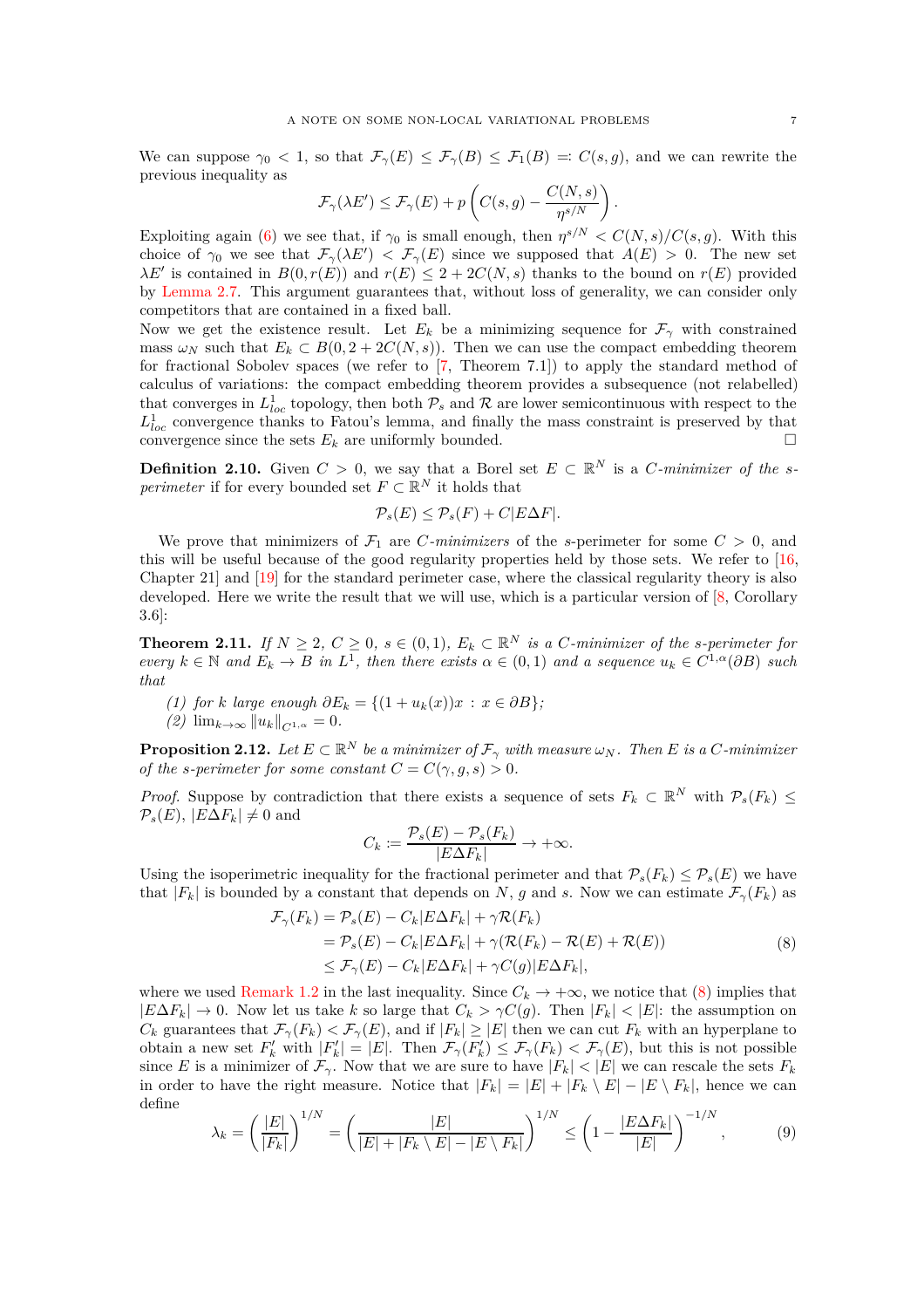We can suppose  $\gamma_0 < 1$ , so that  $\mathcal{F}_{\gamma}(E) \leq \mathcal{F}_{\gamma}(B) \leq \mathcal{F}_1(B) =: C(s,g)$ , and we can rewrite the previous inequality as

$$
\mathcal{F}_{\gamma}(\lambda E') \leq \mathcal{F}_{\gamma}(E) + p\left(C(s,g) - \frac{C(N,s)}{\eta^{s/N}}\right).
$$

Exploiting again [\(6\)](#page-5-4) we see that, if  $\gamma_0$  is small enough, then  $\eta^{s/N} < C(N,s)/C(s,g)$ . With this choice of  $\gamma_0$  we see that  $\mathcal{F}_{\gamma}(\lambda E') < \mathcal{F}_{\gamma}(E)$  since we supposed that  $A(E) > 0$ . The new set  $\lambda E'$  is contained in  $B(0, r(E))$  and  $r(E) \leq 2 + 2C(N, s)$  thanks to the bound on  $r(E)$  provided by [Lemma 2.7.](#page-5-0) This argument guarantees that, without loss of generality, we can consider only competitors that are contained in a fixed ball.

Now we get the existence result. Let  $E_k$  be a minimizing sequence for  $\mathcal{F}_{\gamma}$  with constrained mass  $\omega_N$  such that  $E_k \subset B(0, 2 + 2C(N, s))$ . Then we can use the compact embedding theorem for fractional Sobolev spaces (we refer to [\[7,](#page-17-7) Theorem 7.1]) to apply the standard method of calculus of variations: the compact embedding theorem provides a subsequence (not relabelled) that converges in  $L^1_{loc}$  topology, then both  $\mathcal{P}_s$  and  $\mathcal R$  are lower semicontinuous with respect to the  $L_{loc}^1$  convergence thanks to Fatou's lemma, and finally the mass constraint is preserved by that convergence since the sets  $E_k$  are uniformly bounded.

**Definition 2.10.** Given  $C > 0$ , we say that a Borel set  $E \subset \mathbb{R}^N$  is a *C-minimizer of the sperimeter* if for every bounded set  $F \subset \mathbb{R}^N$  it holds that

$$
\mathcal{P}_s(E) \le \mathcal{P}_s(F) + C|E\Delta F|.
$$

We prove that minimizers of  $\mathcal{F}_1$  are *C-minimizers* of the *s*-perimeter for some  $C > 0$ , and this will be useful because of the good regularity properties held by those sets. We refer to [\[16,](#page-18-8) Chapter 21] and [\[19\]](#page-18-9) for the standard perimeter case, where the classical regularity theory is also developed. Here we write the result that we will use, which is a particular version of [\[8,](#page-17-1) Corollary 3.6]:

<span id="page-6-3"></span>**Theorem 2.11.** *If*  $N \geq 2$ ,  $C \geq 0$ ,  $s \in (0,1)$ ,  $E_k \subset \mathbb{R}^N$  is a *C*-minimizer of the *s*-perimeter for  $e^{i\omega t}$   $k \in \mathbb{N}$  *and*  $E_k \to B$  *in*  $L^1$ *, then there exists*  $\alpha \in (0,1)$  *and a sequence*  $u_k \in C^{1,\alpha}(\partial B)$  *such that*

*(1) for k large enough*  $\partial E_k = \{(1 + u_k(x))x : x \in \partial B\}$ ;

*(2)*  $\lim_{k \to \infty} ||u_k||_{C^{1,\alpha}} = 0.$ 

<span id="page-6-2"></span>**Proposition 2.12.** Let  $E \subset \mathbb{R}^N$  be a minimizer of  $\mathcal{F}_\gamma$  with measure  $\omega_N$ . Then E is a C-minimizer *of the s-perimeter for some constant*  $C = C(\gamma, g, s) > 0$ .

*Proof.* Suppose by contradiction that there exists a sequence of sets  $F_k \subset \mathbb{R}^N$  with  $\mathcal{P}_s(F_k) \leq$  $\mathcal{P}_s(E)$ ,  $|E\Delta F_k| \neq 0$  and

$$
C_k \coloneqq \frac{\mathcal{P}_s(E) - \mathcal{P}_s(F_k)}{|E\Delta F_k|} \to +\infty.
$$

Using the isoperimetric inequality for the fractional perimeter and that  $\mathcal{P}_s(F_k) \leq \mathcal{P}_s(E)$  we have that  $|F_k|$  is bounded by a constant that depends on *N*, *g* and *s*. Now we can estimate  $\mathcal{F}_{\gamma}(F_k)$  as

$$
\mathcal{F}_{\gamma}(F_k) = \mathcal{P}_s(E) - C_k |E\Delta F_k| + \gamma \mathcal{R}(F_k)
$$
  
=  $\mathcal{P}_s(E) - C_k |E\Delta F_k| + \gamma (\mathcal{R}(F_k) - \mathcal{R}(E) + \mathcal{R}(E))$   
 $\leq \mathcal{F}_{\gamma}(E) - C_k |E\Delta F_k| + \gamma C(g) |E\Delta F_k|,$  (8)

<span id="page-6-0"></span>where we used [Remark 1.2](#page-3-2) in the last inequality. Since  $C_k \to +\infty$ , we notice that [\(8\)](#page-6-0) implies that  $|E\Delta F_k| \to 0$ . Now let us take *k* so large that  $C_k > \gamma C(g)$ . Then  $|F_k| < |E|$ : the assumption on *C<sub>k</sub>* guarantees that  $\mathcal{F}_{\gamma}(F_k) < \mathcal{F}_{\gamma}(E)$ , and if  $|F_k| \geq |E|$  then we can cut  $F_k$  with an hyperplane to obtain a new set  $F'_k$  with  $|F'_k| = |E|$ . Then  $\mathcal{F}_{\gamma}(F'_k) \leq \mathcal{F}_{\gamma}(F_k) < \mathcal{F}_{\gamma}(E)$ , but this is not possible since *E* is a minimizer of  $\mathcal{F}_{\gamma}$ . Now that we are sure to have  $|F_k| < |E|$  we can rescale the sets  $F_k$ in order to have the right measure. Notice that  $|F_k| = |E| + |F_k \setminus E| - |E \setminus F_k|$ , hence we can define

<span id="page-6-1"></span>
$$
\lambda_k = \left(\frac{|E|}{|F_k|}\right)^{1/N} = \left(\frac{|E|}{|E| + |F_k \setminus E| - |E \setminus F_k|}\right)^{1/N} \le \left(1 - \frac{|E\Delta F_k|}{|E|}\right)^{-1/N},\tag{9}
$$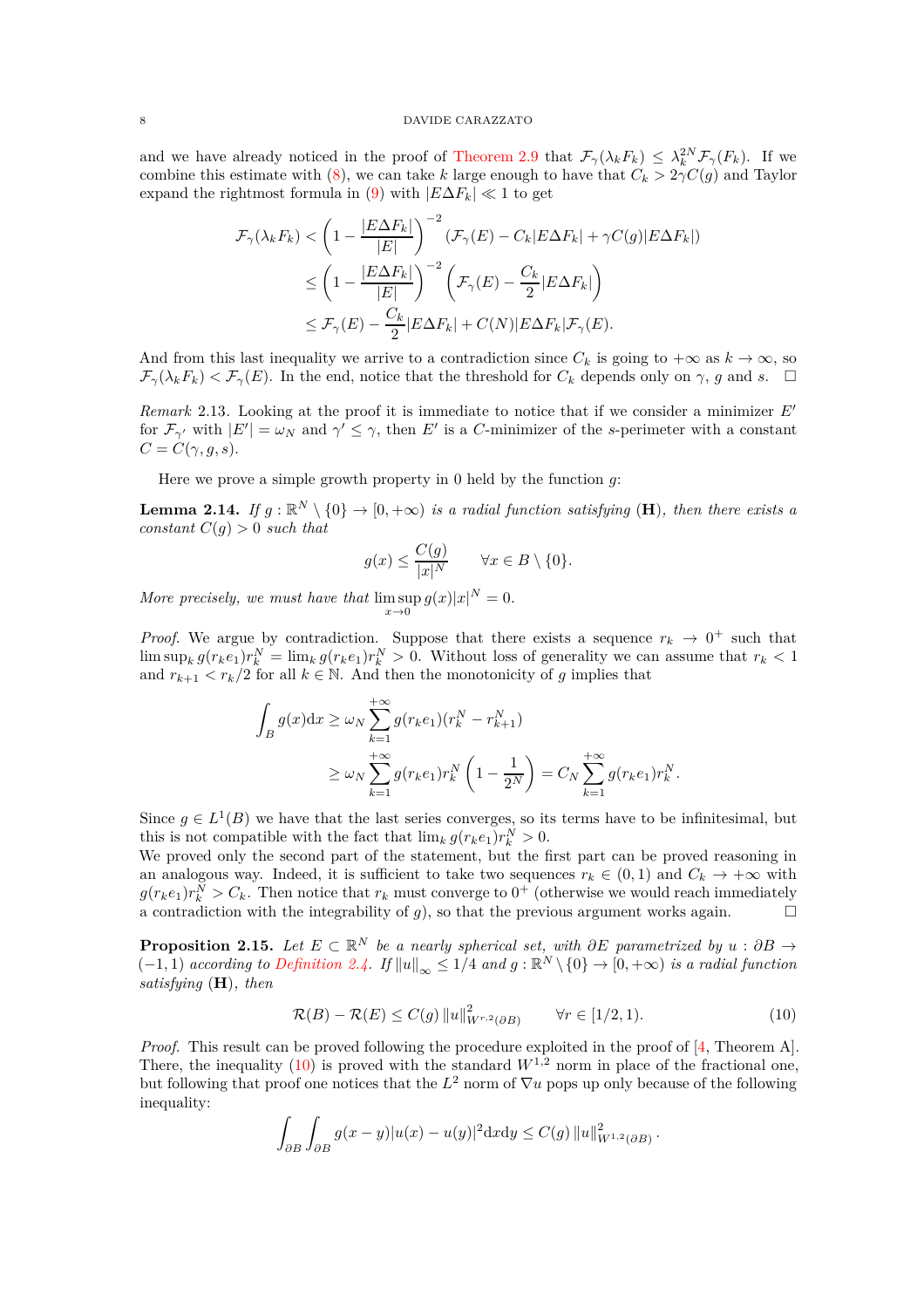and we have already noticed in the proof of [Theorem 2.9](#page-5-1) that  $\mathcal{F}_{\gamma}(\lambda_k F_k) \leq \lambda_k^{2N} \mathcal{F}_{\gamma}(F_k)$ . If we combine this estimate with [\(8\)](#page-6-0), we can take *k* large enough to have that  $C_k > 2\gamma C(g)$  and Taylor expand the rightmost formula in [\(9\)](#page-6-1) with  $|E\Delta F_k| \ll 1$  to get

$$
\mathcal{F}_{\gamma}(\lambda_{k} F_{k}) < \left(1 - \frac{|E \Delta F_{k}|}{|E|}\right)^{-2} \left(\mathcal{F}_{\gamma}(E) - C_{k}|E \Delta F_{k}| + \gamma C(g)|E \Delta F_{k}|\right)
$$
  
\n
$$
\leq \left(1 - \frac{|E \Delta F_{k}|}{|E|}\right)^{-2} \left(\mathcal{F}_{\gamma}(E) - \frac{C_{k}}{2}|E \Delta F_{k}|\right)
$$
  
\n
$$
\leq \mathcal{F}_{\gamma}(E) - \frac{C_{k}}{2}|E \Delta F_{k}| + C(N)|E \Delta F_{k}|\mathcal{F}_{\gamma}(E).
$$

And from this last inequality we arrive to a contradiction since  $C_k$  is going to  $+\infty$  as  $k \to \infty$ , so  $\mathcal{F}_{\gamma}(\lambda_k F_k) < \mathcal{F}_{\gamma}(E)$ . In the end, notice that the threshold for  $C_k$  depends only on  $\gamma$ , *g* and *s*.  $\Box$ 

*Remark* 2.13*.* Looking at the proof it is immediate to notice that if we consider a minimizer *E*′ for  $\mathcal{F}_{\gamma'}$  with  $|E'| = \omega_N$  and  $\gamma' \leq \gamma$ , then E' is a *C*-minimizer of the *s*-perimeter with a constant  $C = C(\gamma, g, s).$ 

Here we prove a simple growth property in 0 held by the function *g*:

<span id="page-7-1"></span>**Lemma 2.14.** If  $g : \mathbb{R}^N \setminus \{0\} \to [0, +\infty)$  is a radial function satisfying (**H**), then there exists a *constant*  $C(g) > 0$  *such that* 

$$
g(x) \le \frac{C(g)}{|x|^N} \qquad \forall x \in B \setminus \{0\}.
$$

*More precisely, we must have that*  $\limsup_{x\to 0} g(x)|x|^N = 0$ .

*Proof.* We argue by contradiction. Suppose that there exists a sequence  $r_k \rightarrow 0^+$  such that  $\limsup_k g(r_k e_1) r_k^N = \lim_k g(r_k e_1) r_k^N > 0.$  Without loss of generality we can assume that  $r_k < 1$ and  $r_{k+1} < r_k/2$  for all  $k \in \mathbb{N}$ . And then the monotonicity of g implies that

$$
\int_{B} g(x) dx \ge \omega_{N} \sum_{k=1}^{+\infty} g(r_{k}e_{1})(r_{k}^{N} - r_{k+1}^{N})
$$
\n
$$
\ge \omega_{N} \sum_{k=1}^{+\infty} g(r_{k}e_{1})r_{k}^{N} \left(1 - \frac{1}{2^{N}}\right) = C_{N} \sum_{k=1}^{+\infty} g(r_{k}e_{1})r_{k}^{N}.
$$

Since  $g \in L^1(B)$  we have that the last series converges, so its terms have to be infinitesimal, but this is not compatible with the fact that  $\lim_k g(r_k e_1) r_k^N > 0$ .

We proved only the second part of the statement, but the first part can be proved reasoning in an analogous way. Indeed, it is sufficient to take two sequences  $r_k \in (0,1)$  and  $C_k \to +\infty$  with  $g(r_k e_1) r_k^N > C_k$ . Then notice that  $r_k$  must converge to  $0^+$  (otherwise we would reach immediately a contradiction with the integrability of *g*), so that the previous argument works again.

<span id="page-7-2"></span>**Proposition 2.15.** *Let*  $E \subset \mathbb{R}^N$  *be a nearly spherical set, with*  $\partial E$  *parametrized by*  $u : \partial B \to$  $(-1, 1)$  *according to [Definition 2.4.](#page-4-3) If*  $||u||_{\infty} \leq 1/4$  *and*  $g : \mathbb{R}^N \setminus \{0\} \to [0, +\infty)$  *is a radial function satisfying* (**H**)*, then*

<span id="page-7-0"></span>
$$
\mathcal{R}(B) - \mathcal{R}(E) \le C(g) \|u\|_{W^{r,2}(\partial B)}^2 \qquad \forall r \in [1/2, 1). \tag{10}
$$

*Proof.* This result can be proved following the procedure exploited in the proof of [\[4,](#page-17-2) Theorem A]. There, the inequality [\(10\)](#page-7-0) is proved with the standard  $W^{1,2}$  norm in place of the fractional one, but following that proof one notices that the  $L^2$  norm of  $\nabla u$  pops up only because of the following inequality:

$$
\int_{\partial B} \int_{\partial B} g(x - y) |u(x) - u(y)|^2 \mathrm{d}x \mathrm{d}y \le C(g) ||u||_{W^{1,2}(\partial B)}^2.
$$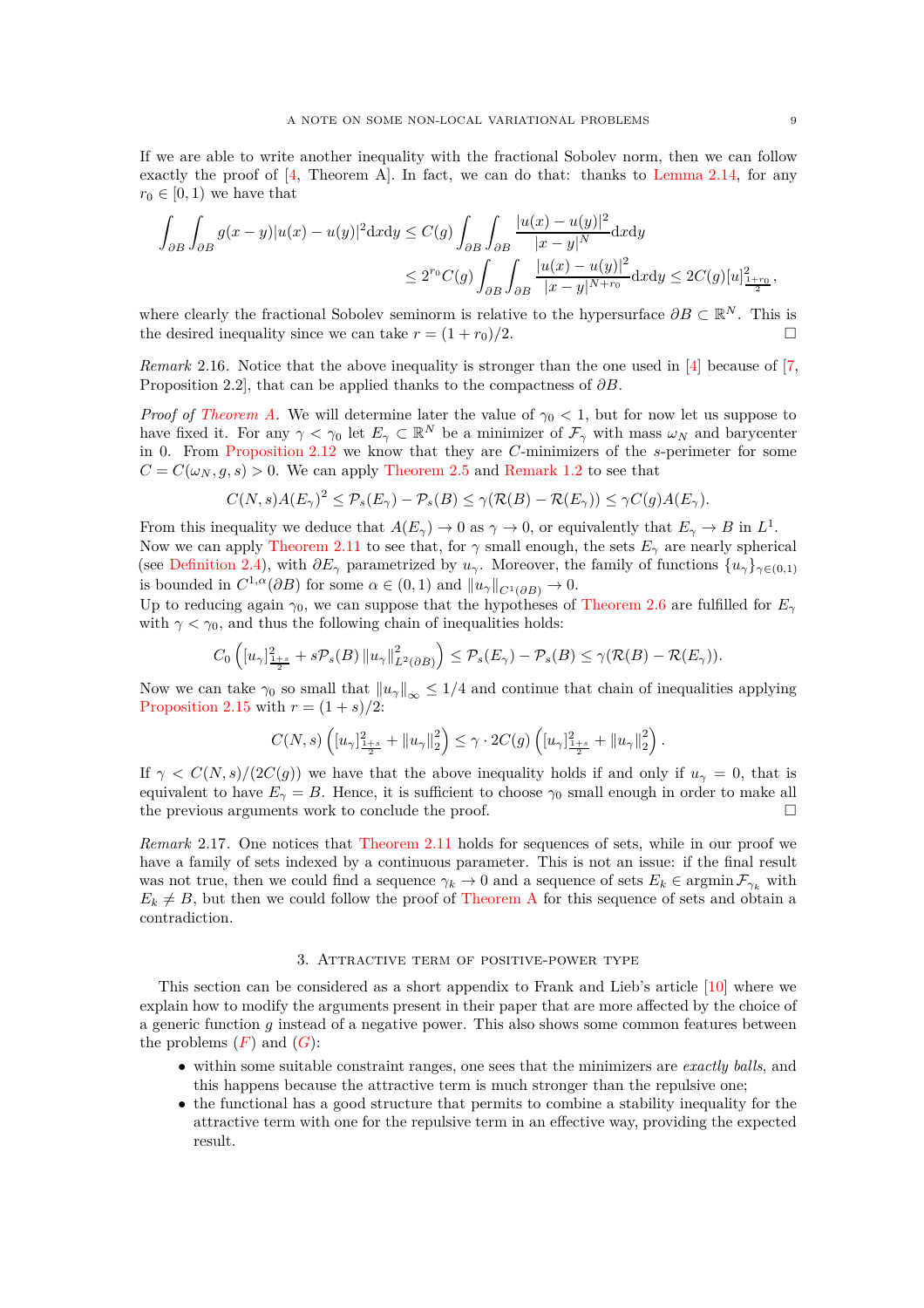If we are able to write another inequality with the fractional Sobolev norm, then we can follow exactly the proof of  $[4,$  Theorem A. In fact, we can do that: thanks to [Lemma 2.14,](#page-7-1) for any  $r_0 \in [0, 1)$  we have that

$$
\int_{\partial B} \int_{\partial B} g(x - y) |u(x) - u(y)|^2 dx dy \le C(g) \int_{\partial B} \int_{\partial B} \frac{|u(x) - u(y)|^2}{|x - y|^N} dx dy
$$
  

$$
\le 2^{r_0} C(g) \int_{\partial B} \int_{\partial B} \frac{|u(x) - u(y)|^2}{|x - y|^{N + r_0}} dx dy \le 2C(g) [u]_{\frac{1 + r_0}{2}}^{2},
$$

where clearly the fractional Sobolev seminorm is relative to the hypersurface  $\partial B \subset \mathbb{R}^N$ . This is the desired inequality since we can take  $r = (1 + r_0)/2$ .

*Remark* 2.16*.* Notice that the above inequality is stronger than the one used in [\[4\]](#page-17-2) because of [\[7,](#page-17-7) Proposition 2.2], that can be applied thanks to the compactness of *∂B*.

*Proof of [Theorem A.](#page-1-0)* We will determine later the value of  $\gamma_0 < 1$ , but for now let us suppose to have fixed it. For any  $\gamma < \gamma_0$  let  $E_\gamma \subset \mathbb{R}^N$  be a minimizer of  $\mathcal{F}_\gamma$  with mass  $\omega_N$  and barycenter in 0. From [Proposition 2.12](#page-6-2) we know that they are *C*-minimizers of the *s*-perimeter for some  $C = C(\omega_N, g, s) > 0$ . We can apply [Theorem 2.5](#page-4-2) and [Remark 1.2](#page-3-2) to see that

$$
C(N,s)A(E_{\gamma})^2 \leq \mathcal{P}_s(E_{\gamma}) - \mathcal{P}_s(B) \leq \gamma(\mathcal{R}(B) - \mathcal{R}(E_{\gamma})) \leq \gamma C(g)A(E_{\gamma}).
$$

From this inequality we deduce that  $A(E_{\gamma}) \to 0$  as  $\gamma \to 0$ , or equivalently that  $E_{\gamma} \to B$  in  $L^1$ . Now we can apply [Theorem 2.11](#page-6-3) to see that, for  $\gamma$  small enough, the sets  $E_\gamma$  are nearly spherical (see [Definition 2.4\)](#page-4-3), with  $\partial E_\gamma$  parametrized by  $u_\gamma$ . Moreover, the family of functions  $\{u_\gamma\}_{\gamma \in (0,1)}$ is bounded in  $C^{1,\alpha}(\partial B)$  for some  $\alpha \in (0,1)$  and  $||u_{\gamma}||_{C^{1}(\partial B)} \to 0$ .

Up to reducing again  $\gamma_0$ , we can suppose that the hypotheses of [Theorem 2.6](#page-4-1) are fulfilled for  $E_\gamma$ with  $\gamma < \gamma_0$ , and thus the following chain of inequalities holds:

$$
C_0\left(\left[u_\gamma\right]_{\frac{1+s}{2}}^2+s\mathcal{P}_s(B)\left\|u_\gamma\right\|_{L^2(\partial B)}^2\right)\leq \mathcal{P}_s(E_\gamma)-\mathcal{P}_s(B)\leq \gamma(\mathcal{R}(B)-\mathcal{R}(E_\gamma)).
$$

Now we can take  $\gamma_0$  so small that  $||u_\gamma||_{\infty} \leq 1/4$  and continue that chain of inequalities applying [Proposition 2.15](#page-7-2) with  $r = (1 + s)/2$ :

$$
C(N,s)\left([u_\gamma]_{\frac{1+s}{2}}^2+\|u_\gamma\|_2^2\right)\leq \gamma\cdot 2C(g)\left([u_\gamma]_{\frac{1+s}{2}}^2+\|u_\gamma\|_2^2\right).
$$

If  $\gamma < C(N, s)/(2C(g))$  we have that the above inequality holds if and only if  $u_{\gamma} = 0$ , that is equivalent to have  $E_\gamma = B$ . Hence, it is sufficient to choose  $\gamma_0$  small enough in order to make all the previous arguments work to conclude the proof.

*Remark* 2.17*.* One notices that [Theorem 2.11](#page-6-3) holds for sequences of sets, while in our proof we have a family of sets indexed by a continuous parameter. This is not an issue: if the final result was not true, then we could find a sequence  $\gamma_k \to 0$  and a sequence of sets  $E_k \in \operatorname{argmin} \mathcal{F}_{\gamma_k}$  with  $E_k \neq B$ , but then we could follow the proof of [Theorem A](#page-1-0) for this sequence of sets and obtain a contradiction.

## 3. Attractive term of positive-power type

<span id="page-8-0"></span>This section can be considered as a short appendix to Frank and Lieb's article [\[10\]](#page-18-5) where we explain how to modify the arguments present in their paper that are more affected by the choice of a generic function *g* instead of a negative power. This also shows some common features between the problems  $(F)$  $(F)$  $(F)$  and  $(G)$  $(G)$  $(G)$ :

- within some suitable constraint ranges, one sees that the minimizers are *exactly balls*, and this happens because the attractive term is much stronger than the repulsive one;
- the functional has a good structure that permits to combine a stability inequality for the attractive term with one for the repulsive term in an effective way, providing the expected result.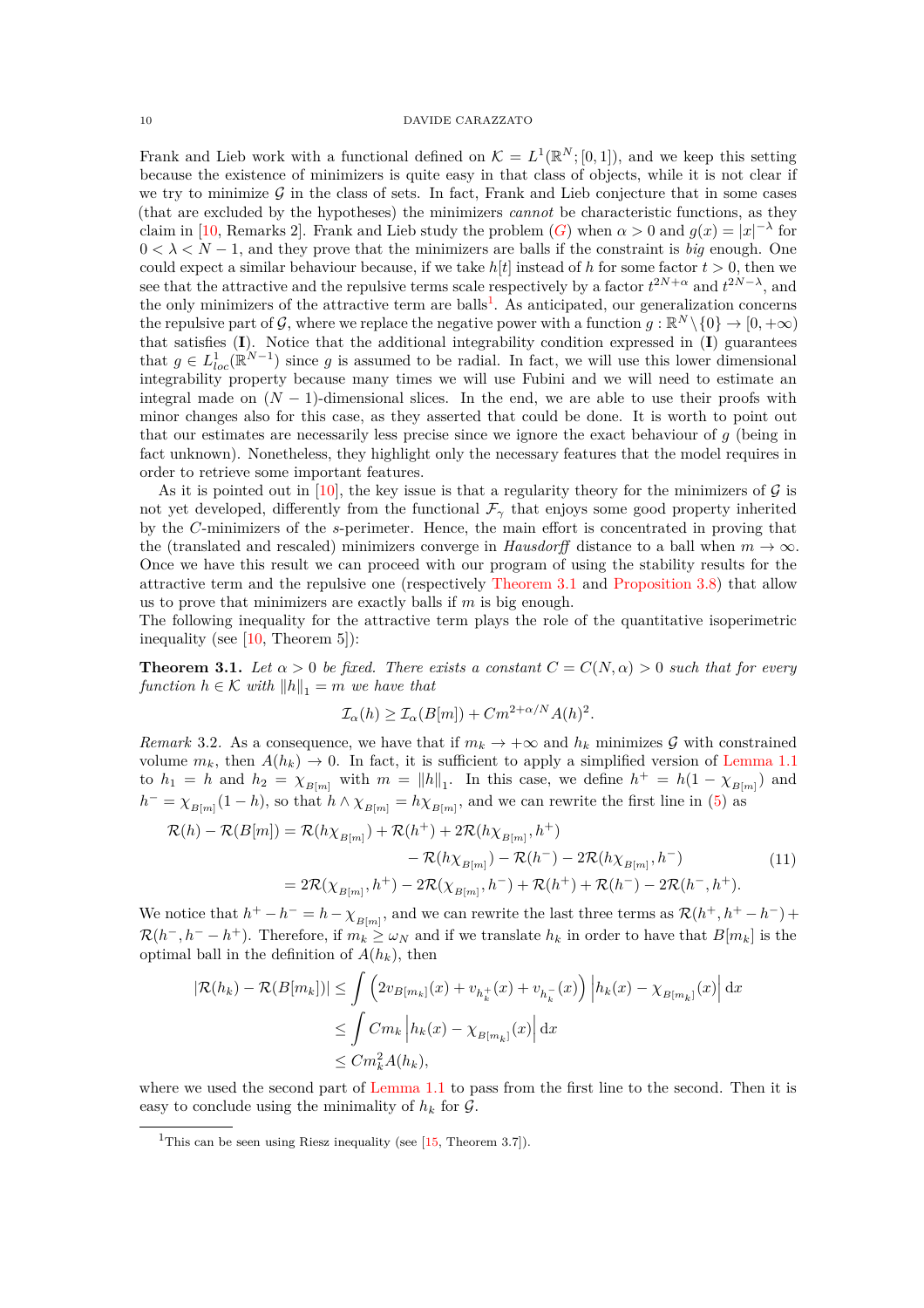Frank and Lieb work with a functional defined on  $\mathcal{K} = L^1(\mathbb{R}^N; [0,1])$ , and we keep this setting because the existence of minimizers is quite easy in that class of objects, while it is not clear if we try to minimize  $G$  in the class of sets. In fact, Frank and Lieb conjecture that in some cases (that are excluded by the hypotheses) the minimizers *cannot* be characteristic functions, as they claim in [\[10,](#page-18-5) Remarks 2]. Frank and Lieb study the problem  $(G)$  $(G)$  $(G)$  when  $\alpha > 0$  and  $g(x) = |x|^{-\lambda}$  for  $0 < \lambda < N - 1$ , and they prove that the minimizers are balls if the constraint is *big* enough. One could expect a similar behaviour because, if we take  $h[t]$  instead of h for some factor  $t > 0$ , then we see that the attractive and the repulsive terms scale respectively by a factor  $t^{2N+\alpha}$  and  $t^{2N-\lambda}$ , and the only minimizers of the attractive term are balls<sup>[1](#page-9-0)</sup>. As anticipated, our generalization concerns the repulsive part of G, where we replace the negative power with a function  $g : \mathbb{R}^N \setminus \{0\} \to [0, +\infty)$ that satisfies (**I**). Notice that the additional integrability condition expressed in (**I**) guarantees that  $g \in L^1_{loc}(\mathbb{R}^{N-1})$  since g is assumed to be radial. In fact, we will use this lower dimensional integrability property because many times we will use Fubini and we will need to estimate an integral made on  $(N-1)$ -dimensional slices. In the end, we are able to use their proofs with minor changes also for this case, as they asserted that could be done. It is worth to point out that our estimates are necessarily less precise since we ignore the exact behaviour of *g* (being in fact unknown). Nonetheless, they highlight only the necessary features that the model requires in order to retrieve some important features.

As it is pointed out in [\[10\]](#page-18-5), the key issue is that a regularity theory for the minimizers of  $\mathcal G$  is not yet developed, differently from the functional  $\mathcal{F}_{\gamma}$  that enjoys some good property inherited by the *C*-minimizers of the *s*-perimeter. Hence, the main effort is concentrated in proving that the (translated and rescaled) minimizers converge in *Hausdorff* distance to a ball when  $m \to \infty$ . Once we have this result we can proceed with our program of using the stability results for the attractive term and the repulsive one (respectively [Theorem 3.1](#page-9-1) and [Proposition 3.8\)](#page-11-0) that allow us to prove that minimizers are exactly balls if *m* is big enough.

The following inequality for the attractive term plays the role of the quantitative isoperimetric inequality (see [\[10,](#page-18-5) Theorem 5]):

<span id="page-9-1"></span>**Theorem 3.1.** *Let*  $\alpha > 0$  *be fixed. There exists a constant*  $C = C(N, \alpha) > 0$  *such that for every function*  $h \in \mathcal{K}$  *with*  $||h||_1 = m$  *we have that* 

$$
\mathcal{I}_{\alpha}(h) \ge \mathcal{I}_{\alpha}(B[m]) + Cm^{2+\alpha/N}A(h)^2.
$$

<span id="page-9-2"></span>*Remark* 3.2. As a consequence, we have that if  $m_k \to +\infty$  and  $h_k$  minimizes G with constrained volume  $m_k$ , then  $A(h_k) \to 0$ . In fact, it is sufficient to apply a simplified version of [Lemma 1.1](#page-3-1) to  $h_1 = h$  and  $h_2 = \chi_{B[m]}$  with  $m = ||h||_1$ . In this case, we define  $h^+ = h(1 - \chi_{B[m]})$  and  $h^- = \chi_{B[m]}(1-h)$ , so that  $h \wedge \chi_{B[m]} = h \chi_{B[m]}$ , and we can rewrite the first line in [\(5\)](#page-3-3) as

<span id="page-9-3"></span>
$$
\mathcal{R}(h) - \mathcal{R}(B[m]) = \mathcal{R}(h\chi_{B[m]}) + \mathcal{R}(h^{+}) + 2\mathcal{R}(h\chi_{B[m]}, h^{+})
$$
  
\n
$$
- \mathcal{R}(h\chi_{B[m]}) - \mathcal{R}(h^{-}) - 2\mathcal{R}(h\chi_{B[m]}, h^{-})
$$
  
\n
$$
= 2\mathcal{R}(\chi_{B[m]}, h^{+}) - 2\mathcal{R}(\chi_{B[m]}, h^{-}) + \mathcal{R}(h^{+}) + \mathcal{R}(h^{-}) - 2\mathcal{R}(h^{-}, h^{+}).
$$
\n(11)

We notice that  $h^+ - h^- = h - \chi_{B[m]}$ , and we can rewrite the last three terms as  $\mathcal{R}(h^+, h^+ - h^-)$  $\mathcal{R}(h^-, h^- - h^+)$ . Therefore, if  $m_k \geq \omega_N$  and if we translate  $h_k$  in order to have that  $B[m_k]$  is the optimal ball in the definition of  $A(h_k)$ , then

$$
|\mathcal{R}(h_k) - \mathcal{R}(B[m_k])| \le \int \left(2v_{B[m_k]}(x) + v_{h_k^+}(x) + v_{h_k^-}(x)\right) \left|h_k(x) - \chi_{B[m_k]}(x)\right| dx
$$
  
\n
$$
\le \int Cm_k \left|h_k(x) - \chi_{B[m_k]}(x)\right| dx
$$
  
\n
$$
\le Cm_k^2 A(h_k),
$$

where we used the second part of [Lemma 1.1](#page-3-1) to pass from the first line to the second. Then it is easy to conclude using the minimality of  $h_k$  for  $\mathcal{G}$ .

<span id="page-9-0"></span><sup>&</sup>lt;sup>1</sup>This can be seen using Riesz inequality (see [\[15,](#page-18-10) Theorem 3.7]).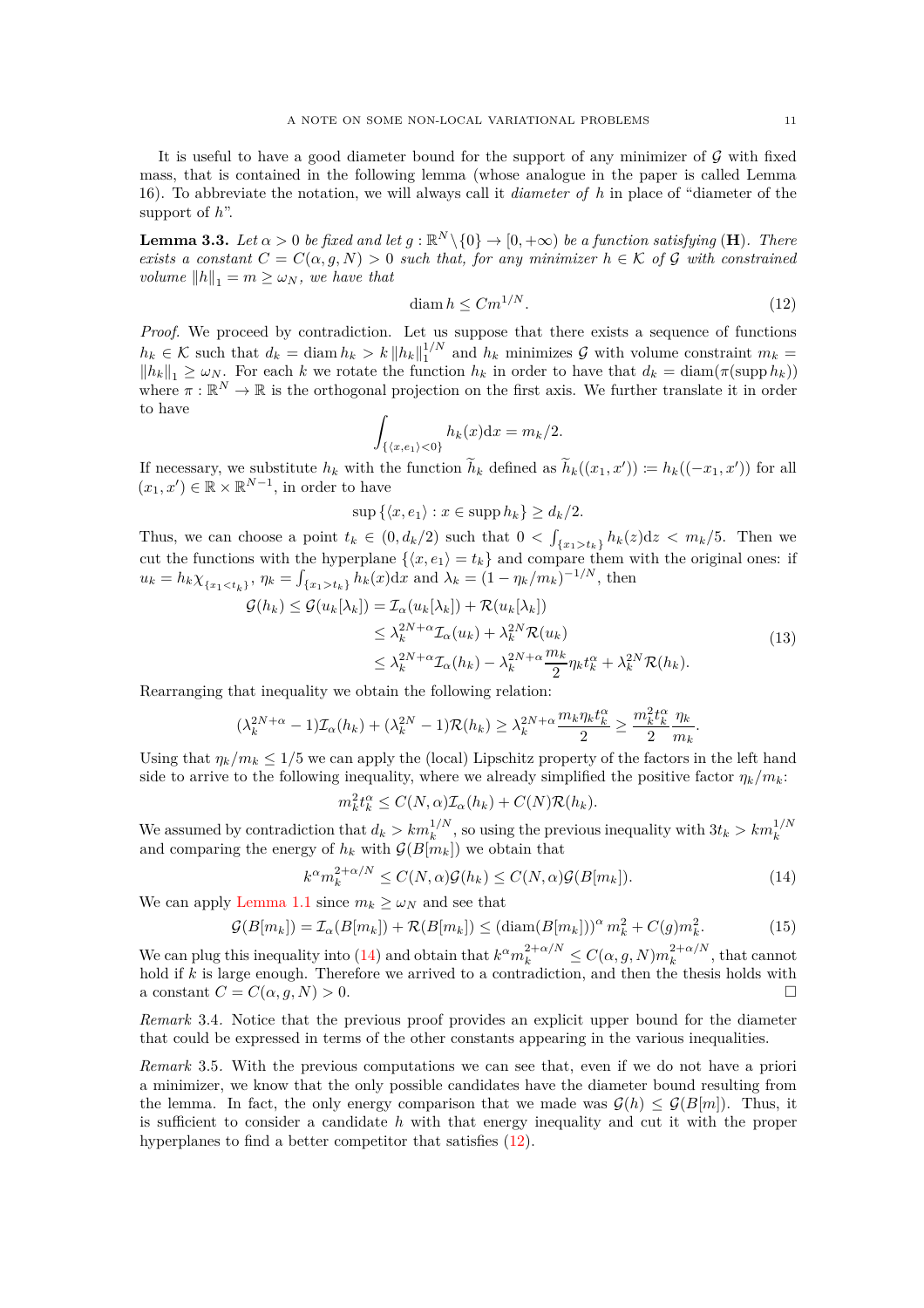It is useful to have a good diameter bound for the support of any minimizer of  $\mathcal G$  with fixed mass, that is contained in the following lemma (whose analogue in the paper is called Lemma 16). To abbreviate the notation, we will always call it *diameter of h* in place of "diameter of the support of *h*".

<span id="page-10-3"></span>**Lemma 3.3.** *Let*  $\alpha > 0$  *be fixed and let*  $g : \mathbb{R}^N \setminus \{0\} \to [0, +\infty)$  *be a function satisfying* (**H**). *There exists a constant*  $C = C(\alpha, g, N) > 0$  *such that, for any minimizer*  $h \in \mathcal{K}$  *of* G *with constrained volume*  $||h||_1 = m \geq \omega_N$ *, we have that* 

<span id="page-10-1"></span>
$$
\dim h \le C m^{1/N}.\tag{12}
$$

*Proof.* We proceed by contradiction. Let us suppose that there exists a sequence of functions  $h_k \in \mathcal{K}$  such that  $d_k = \text{diam } h_k > k ||h_k||_1^{1/N}$  $\int_1^{1/N}$  and  $h_k$  minimizes  $\mathcal G$  with volume constraint  $m_k =$  $||h_k||_1 \ge \omega_N$ . For each *k* we rotate the function  $h_k$  in order to have that  $d_k = \text{diam}(\pi(\text{supp } h_k))$ where  $\pi : \mathbb{R}^N \to \mathbb{R}$  is the orthogonal projection on the first axis. We further translate it in order to have

$$
\int_{\{\langle x,e_1\rangle<0\}} h_k(x) \mathrm{d} x = m_k/2.
$$

If necessary, we substitute  $h_k$  with the function  $\tilde{h}_k$  defined as  $\tilde{h}_k((x_1, x')) \coloneqq h_k((-x_1, x'))$  for all  $(x_1, x') \in \mathbb{R} \times \mathbb{R}^{N-1}$ , in order to have

$$
\sup\left\{ \langle x, e_1 \rangle : x \in \operatorname{supp} h_k \right\} \ge d_k/2.
$$

Thus, we can choose a point  $t_k \in (0, d_k/2)$  such that  $0 < \int_{\{x_1 > t_k\}} h_k(z) dz < m_k/5$ . Then we cut the functions with the hyperplane  $\{(x, e_1) = t_k\}$  and compare them with the original ones: if  $u_k = h_k \chi_{\{x_1 < t_k\}}, \eta_k = \int_{\{x_1 > t_k\}} h_k(x) dx$  and  $\lambda_k = (1 - \eta_k/m_k)^{-1/N}$ , then

$$
G(h_k) \leq G(u_k[\lambda_k]) = \mathcal{I}_{\alpha}(u_k[\lambda_k]) + \mathcal{R}(u_k[\lambda_k])
$$
  
\n
$$
\leq \lambda_k^{2N+\alpha} \mathcal{I}_{\alpha}(u_k) + \lambda_k^{2N} \mathcal{R}(u_k)
$$
  
\n
$$
\leq \lambda_k^{2N+\alpha} \mathcal{I}_{\alpha}(h_k) - \lambda_k^{2N+\alpha} \frac{m_k}{2} \eta_k t_k^{\alpha} + \lambda_k^{2N} \mathcal{R}(h_k).
$$
\n(13)

Rearranging that inequality we obtain the following relation:

$$
(\lambda_k^{2N+\alpha} - 1)\mathcal{I}_{\alpha}(h_k) + (\lambda_k^{2N} - 1)\mathcal{R}(h_k) \ge \lambda_k^{2N+\alpha} \frac{m_k \eta_k t_k^{\alpha}}{2} \ge \frac{m_k^2 t_k^{\alpha}}{2} \frac{\eta_k}{m_k}.
$$

Using that  $\eta_k/m_k \leq 1/5$  we can apply the (local) Lipschitz property of the factors in the left hand side to arrive to the following inequality, where we already simplified the positive factor  $\eta_k/m_k$ :

$$
m_k^2 t_k^{\alpha} \le C(N, \alpha) \mathcal{I}_{\alpha}(h_k) + C(N) \mathcal{R}(h_k).
$$

We assumed by contradiction that  $d_k > km_k^{1/N}$ , so using the previous inequality with  $3t_k > km_k^{1/N}$ <br>and comparing the energy of  $h_k$  with  $\mathcal{G}(B[m_k])$  we obtain that

<span id="page-10-0"></span>
$$
k^{\alpha} m_k^{2+\alpha/N} \le C(N,\alpha)\mathcal{G}(h_k) \le C(N,\alpha)\mathcal{G}(B[m_k]).
$$
\n(14)

We can apply [Lemma 1.1](#page-3-1) since  $m_k \geq \omega_N$  and see that

$$
\mathcal{G}(B[m_k]) = \mathcal{I}_{\alpha}(B[m_k]) + \mathcal{R}(B[m_k]) \leq \left(\text{diam}(B[m_k])\right)^{\alpha} m_k^2 + C(g)m_k^2. \tag{15}
$$

We can plug this inequality into [\(14\)](#page-10-0) and obtain that  $k^{\alpha} m_k^{2+\alpha/N} \leq C(\alpha, g, N) m_k^{2+\alpha/N}$  $\int_k^{2+\alpha/N}$ , that cannot hold if *k* is large enough. Therefore we arrived to a contradiction, and then the thesis holds with a constant  $C = C(\alpha, g, N) > 0$ .

*Remark* 3.4*.* Notice that the previous proof provides an explicit upper bound for the diameter that could be expressed in terms of the other constants appearing in the various inequalities.

<span id="page-10-2"></span>*Remark* 3.5*.* With the previous computations we can see that, even if we do not have a priori a minimizer, we know that the only possible candidates have the diameter bound resulting from the lemma. In fact, the only energy comparison that we made was  $\mathcal{G}(h) \leq \mathcal{G}(B[m])$ . Thus, it is sufficient to consider a candidate *h* with that energy inequality and cut it with the proper hyperplanes to find a better competitor that satisfies  $(12)$ .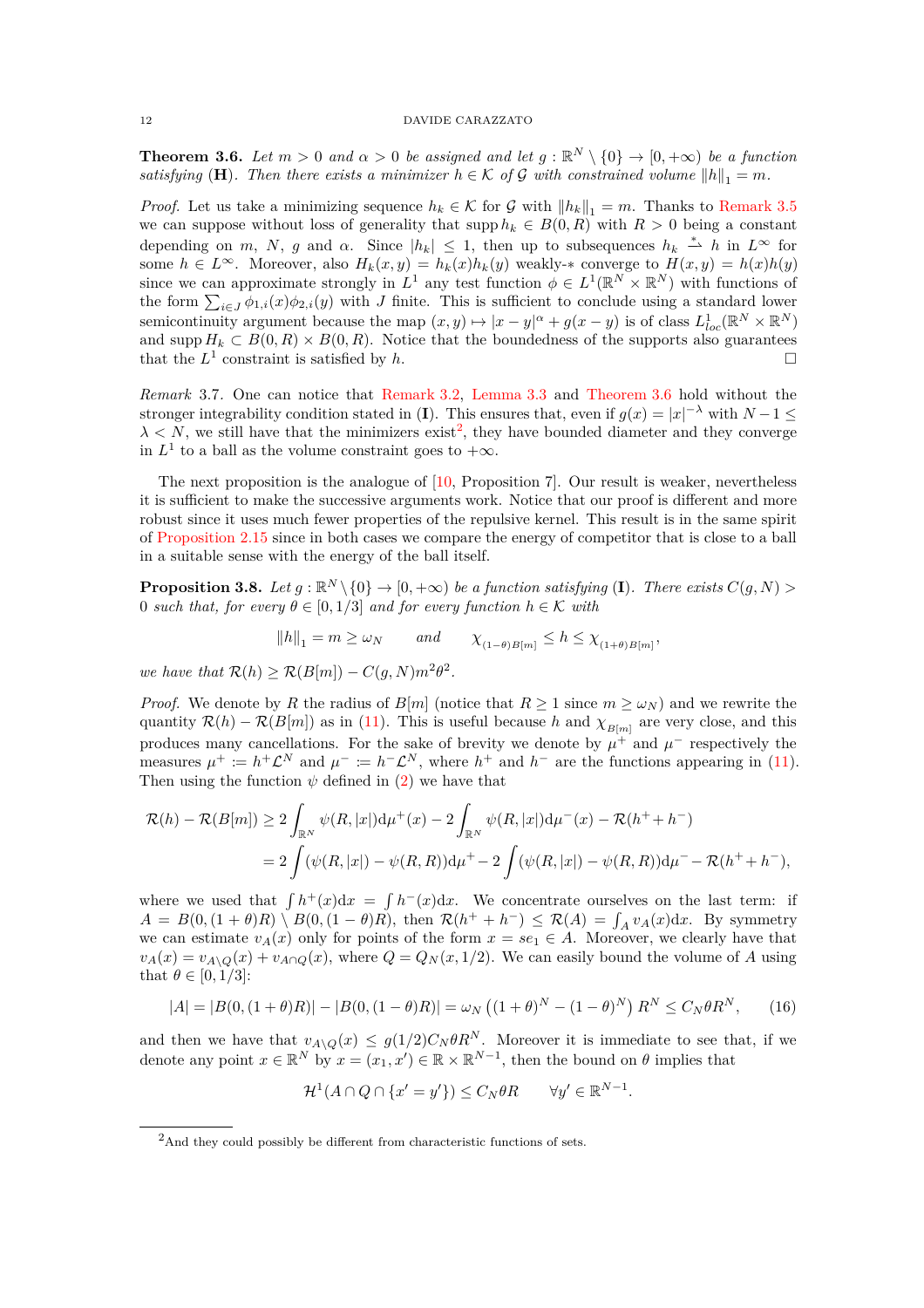<span id="page-11-1"></span>**Theorem 3.6.** *Let*  $m > 0$  *and*  $\alpha > 0$  *be assigned and let*  $g : \mathbb{R}^N \setminus \{0\} \to [0, +\infty)$  *be a function satisfying* (**H**)*. Then there exists a minimizer*  $h \in \mathcal{K}$  *of* G *with constrained volume*  $||h||_1 = m$ *.* 

*Proof.* Let us take a minimizing sequence  $h_k \in \mathcal{K}$  for G with  $||h_k||_1 = m$ . Thanks to [Remark 3.5](#page-10-2) we can suppose without loss of generality that supp  $h_k \in B(0,R)$  with  $R > 0$  being a constant depending on *m*, *N*, *g* and *α*. Since  $|h_k| \leq 1$ , then up to subsequences  $h_k \stackrel{*}{\rightharpoonup} h$  in  $L^{\infty}$  for some  $h \in L^{\infty}$ . Moreover, also  $H_k(x, y) = h_k(x)h_k(y)$  weakly- $*$  converge to  $H(x, y) = h(x)h(y)$ since we can approximate strongly in  $L^1$  any test function  $\phi \in L^1(\mathbb{R}^N \times \mathbb{R}^N)$  with functions of the form  $\sum_{i\in J}\phi_{1,i}(x)\phi_{2,i}(y)$  with *J* finite. This is sufficient to conclude using a standard lower semicontinuity argument because the map  $(x, y) \mapsto |x - y|^{\alpha} + g(x - y)$  is of class  $L^1_{loc}(\mathbb{R}^N \times \mathbb{R}^N)$ and supp  $H_k \subset B(0, R) \times B(0, R)$ . Notice that the boundedness of the supports also guarantees that the  $L^1$  constraint is satisfied by *h*.

*Remark* 3.7*.* One can notice that [Remark 3.2,](#page-9-2) [Lemma 3.3](#page-10-3) and [Theorem 3.6](#page-11-1) hold without the stronger integrability condition stated in (**I**). This ensures that, even if  $g(x) = |x|^{-\lambda}$  with  $N - 1 \le$  $\lambda \langle N \rangle$ , we still have that the minimizers exist<sup>[2](#page-11-2)</sup>, they have bounded diameter and they converge in  $L^1$  to a ball as the volume constraint goes to  $+\infty$ .

The next proposition is the analogue of [\[10,](#page-18-5) Proposition 7]. Our result is weaker, nevertheless it is sufficient to make the successive arguments work. Notice that our proof is different and more robust since it uses much fewer properties of the repulsive kernel. This result is in the same spirit of [Proposition 2.15](#page-7-2) since in both cases we compare the energy of competitor that is close to a ball in a suitable sense with the energy of the ball itself.

<span id="page-11-0"></span>**Proposition 3.8.** Let  $g : \mathbb{R}^N \setminus \{0\} \to [0, +\infty)$  be a function satisfying (**I**). There exists  $C(g, N) >$ 0 *such that, for every*  $\theta \in [0, 1/3]$  *and for every function*  $h \in \mathcal{K}$  *with* 

$$
||h||_1 = m \ge \omega_N \quad \text{and} \quad \chi_{(1-\theta)B[m]} \le h \le \chi_{(1+\theta)B[m]},
$$

*we have that*  $\mathcal{R}(h) \geq \mathcal{R}(B[m]) - C(g, N)m^2\theta^2$ .

*Proof.* We denote by *R* the radius of *B*[*m*] (notice that  $R \ge 1$  since  $m \ge \omega_N$ ) and we rewrite the quantity  $\mathcal{R}(h) - \mathcal{R}(B[m])$  as in [\(11\)](#page-9-3). This is useful because *h* and  $\chi_{B[m]}$  are very close, and this produces many cancellations. For the sake of brevity we denote by  $\mu^+$  and  $\mu^-$  respectively the measures  $\mu^+ := h^+ \mathcal{L}^N$  and  $\mu^- := h^- \mathcal{L}^N$ , where  $h^+$  and  $h^-$  are the functions appearing in [\(11\)](#page-9-3). Then using the function  $\psi$  defined in [\(2\)](#page-2-1) we have that

$$
\mathcal{R}(h) - \mathcal{R}(B[m]) \ge 2 \int_{\mathbb{R}^N} \psi(R, |x|) d\mu^+(x) - 2 \int_{\mathbb{R}^N} \psi(R, |x|) d\mu^-(x) - \mathcal{R}(h^+ + h^-)
$$
  
= 
$$
2 \int (\psi(R, |x|) - \psi(R, R)) d\mu^+ - 2 \int (\psi(R, |x|) - \psi(R, R)) d\mu^- - \mathcal{R}(h^+ + h^-),
$$

where we used that  $\int h^{+}(x)dx = \int h^{-}(x)dx$ . We concentrate ourselves on the last term: if  $A = B(0, (1 + \theta)R) \setminus B(0, (1 - \theta)R)$ , then  $\mathcal{R}(h^+ + h^-) \leq \mathcal{R}(A) = \int_A v_A(x)dx$ . By symmetry we can estimate  $v_A(x)$  only for points of the form  $x = s e_1 \in A$ . Moreover, we clearly have that  $v_A(x) = v_{A\setminus\mathcal{O}}(x) + v_{A\cap\mathcal{O}}(x)$ , where  $Q = Q_N(x, 1/2)$ . We can easily bound the volume of *A* using that  $\theta \in [0, 1/3]$ :

<span id="page-11-3"></span>
$$
|A| = |B(0, (1+\theta)R)| - |B(0, (1-\theta)R)| = \omega_N ((1+\theta)^N - (1-\theta)^N) R^N \le C_N \theta R^N, \qquad (16)
$$

and then we have that  $v_{A\setminus Q}(x) \leq g(1/2)C_N\theta R^N$ . Moreover it is immediate to see that, if we denote any point  $x \in \mathbb{R}^N$  by  $x = (x_1, x') \in \mathbb{R} \times \mathbb{R}^{N-1}$ , then the bound on  $\theta$  implies that

$$
\mathcal{H}^1(A \cap Q \cap \{x' = y'\}) \le C_N \theta R \qquad \forall y' \in \mathbb{R}^{N-1}.
$$

<span id="page-11-2"></span><sup>&</sup>lt;sup>2</sup>And they could possibly be different from characteristic functions of sets.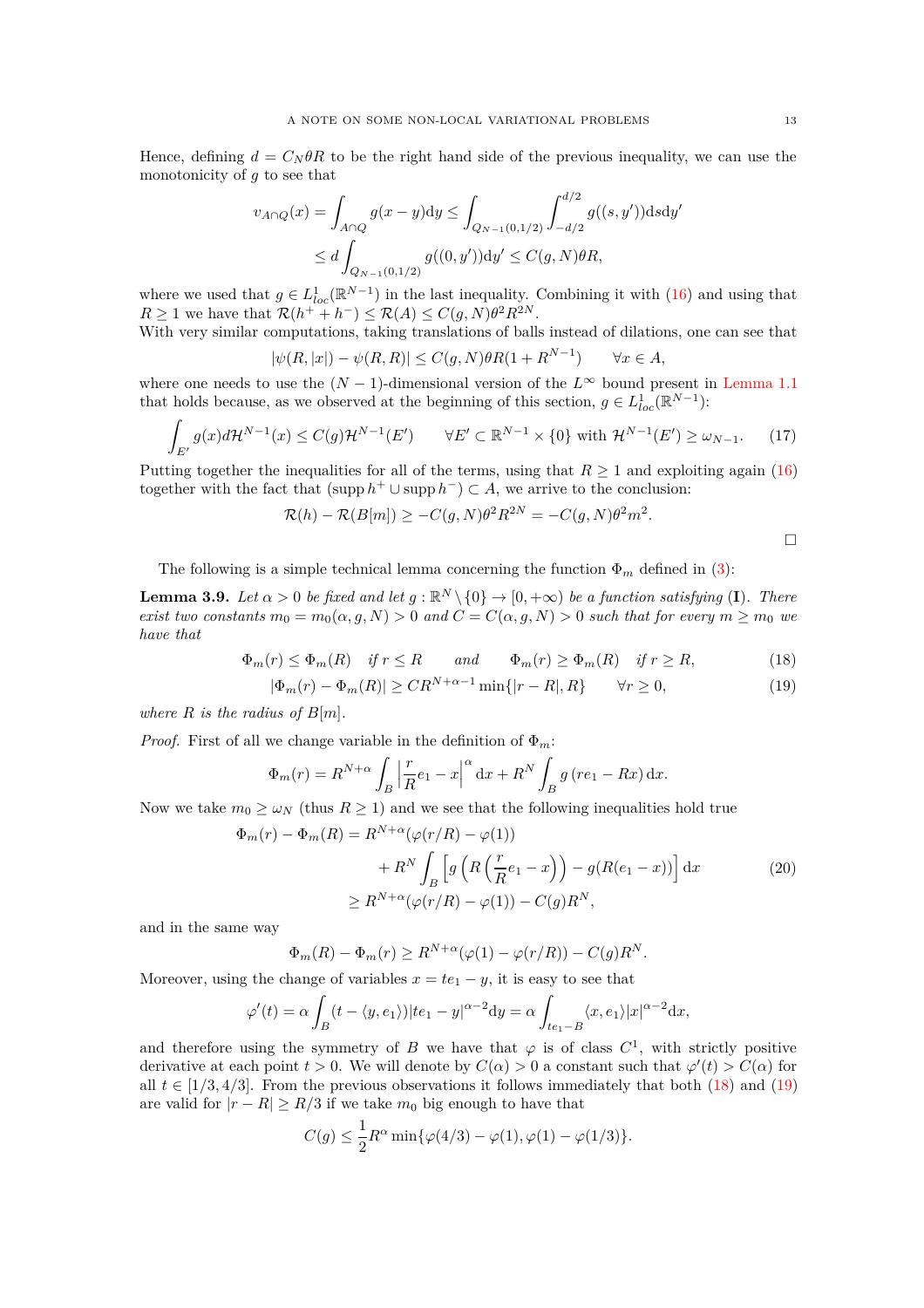Hence, defining  $d = C_N \theta R$  to be the right hand side of the previous inequality, we can use the monotonicity of *g* to see that

$$
v_{A \cap Q}(x) = \int_{A \cap Q} g(x - y) dy \le \int_{Q_{N-1}(0,1/2)} \int_{-d/2}^{d/2} g((s, y')) ds dy'
$$
  

$$
\le d \int_{Q_{N-1}(0,1/2)} g((0, y')) dy' \le C(g, N) \theta R,
$$

where we used that  $g \in L^1_{loc}(\mathbb{R}^{N-1})$  in the last inequality. Combining it with [\(16\)](#page-11-3) and using that  $R \geq 1$  we have that  $\mathcal{R}(h^+ + h^-) \leq \mathcal{R}(A) \leq C(g, N) \theta^2 R^{2N}$ .

With very similar computations, taking translations of balls instead of dilations, one can see that *N*−1

$$
|\psi(R,|x|) - \psi(R,R)| \le C(g,N)\theta R(1 + R^{N-1}) \qquad \forall x \in A,
$$

where one needs to use the  $(N-1)$ -dimensional version of the  $L^{\infty}$  bound present in [Lemma 1.1](#page-3-1) that holds because, as we observed at the beginning of this section,  $g \in L^1_{loc}(\mathbb{R}^{N-1})$ :

<span id="page-12-3"></span>
$$
\int_{E'} g(x)d\mathcal{H}^{N-1}(x) \le C(g)\mathcal{H}^{N-1}(E') \qquad \forall E' \subset \mathbb{R}^{N-1} \times \{0\} \text{ with } \mathcal{H}^{N-1}(E') \ge \omega_{N-1}.\tag{17}
$$

Putting together the inequalities for all of the terms, using that  $R \geq 1$  and exploiting again [\(16\)](#page-11-3) together with the fact that  $(\text{supp } h^+ \cup \text{supp } h^-) \subset A$ , we arrive to the conclusion:

$$
\mathcal{R}(h) - \mathcal{R}(B[m]) \ge -C(g, N)\theta^2 R^{2N} = -C(g, N)\theta^2 m^2.
$$

The following is a simple technical lemma concerning the function  $\Phi_m$  defined in [\(3\)](#page-2-2):

<span id="page-12-4"></span>**Lemma 3.9.** *Let*  $\alpha > 0$  *be fixed and let*  $g : \mathbb{R}^N \setminus \{0\} \to [0, +\infty)$  *be a function satisfying* (**I**)*. There exist two constants*  $m_0 = m_0(\alpha, g, N) > 0$  *and*  $C = C(\alpha, g, N) > 0$  *such that for every*  $m \geq m_0$  *we have that*

$$
\Phi_m(r) \le \Phi_m(R) \quad \text{if } r \le R \qquad \text{and} \qquad \Phi_m(r) \ge \Phi_m(R) \quad \text{if } r \ge R,\tag{18}
$$

$$
|\Phi_m(r) - \Phi_m(R)| \ge CR^{N+\alpha-1} \min\{|r - R|, R\} \qquad \forall r \ge 0,
$$
\n(19)

*where*  $R$  *is the radius of*  $B[m]$ *.* 

*Proof.* First of all we change variable in the definition of  $\Phi_m$ :

$$
\Phi_m(r) = R^{N+\alpha} \int_B \left| \frac{r}{R} e_1 - x \right|^\alpha \mathrm{d}x + R^N \int_B g \left( r e_1 - Rx \right) \mathrm{d}x.
$$

Now we take  $m_0 \geq \omega_N$  (thus  $R \geq 1$ ) and we see that the following inequalities hold true

$$
\Phi_m(r) - \Phi_m(R) = R^{N+\alpha}(\varphi(r/R) - \varphi(1))
$$

$$
+ R^N \int_B \left[ g\left( R\left(\frac{r}{R}e_1 - x\right) \right) - g(R(e_1 - x)) \right] dx \tag{20}
$$

$$
\geq R^{N+\alpha}(\varphi(r/R) - \varphi(1)) - C(g)R^N,
$$

<span id="page-12-2"></span>and in the same way

$$
\Phi_m(R) - \Phi_m(r) \ge R^{N+\alpha}(\varphi(1) - \varphi(r/R)) - C(g)R^N.
$$

Moreover, using the change of variables  $x = te_1 - y$ , it is easy to see that

$$
\varphi'(t) = \alpha \int_B (t - \langle y, e_1 \rangle)|te_1 - y|^{\alpha - 2} dy = \alpha \int_{te_1 - B} \langle x, e_1 \rangle |x|^{\alpha - 2} dx,
$$

and therefore using the symmetry of *B* we have that  $\varphi$  is of class  $C^1$ , with strictly positive derivative at each point  $t > 0$ . We will denote by  $C(\alpha) > 0$  a constant such that  $\varphi'(t) > C(\alpha)$  for all  $t \in [1/3, 4/3]$ . From the previous observations it follows immediately that both [\(18\)](#page-12-0) and [\(19\)](#page-12-1) are valid for  $|r - R| \geq R/3$  if we take  $m_0$  big enough to have that

$$
C(g) \le \frac{1}{2} R^{\alpha} \min{\{\varphi(4/3) - \varphi(1), \varphi(1) - \varphi(1/3)\}}.
$$

<span id="page-12-1"></span><span id="page-12-0"></span> $\Box$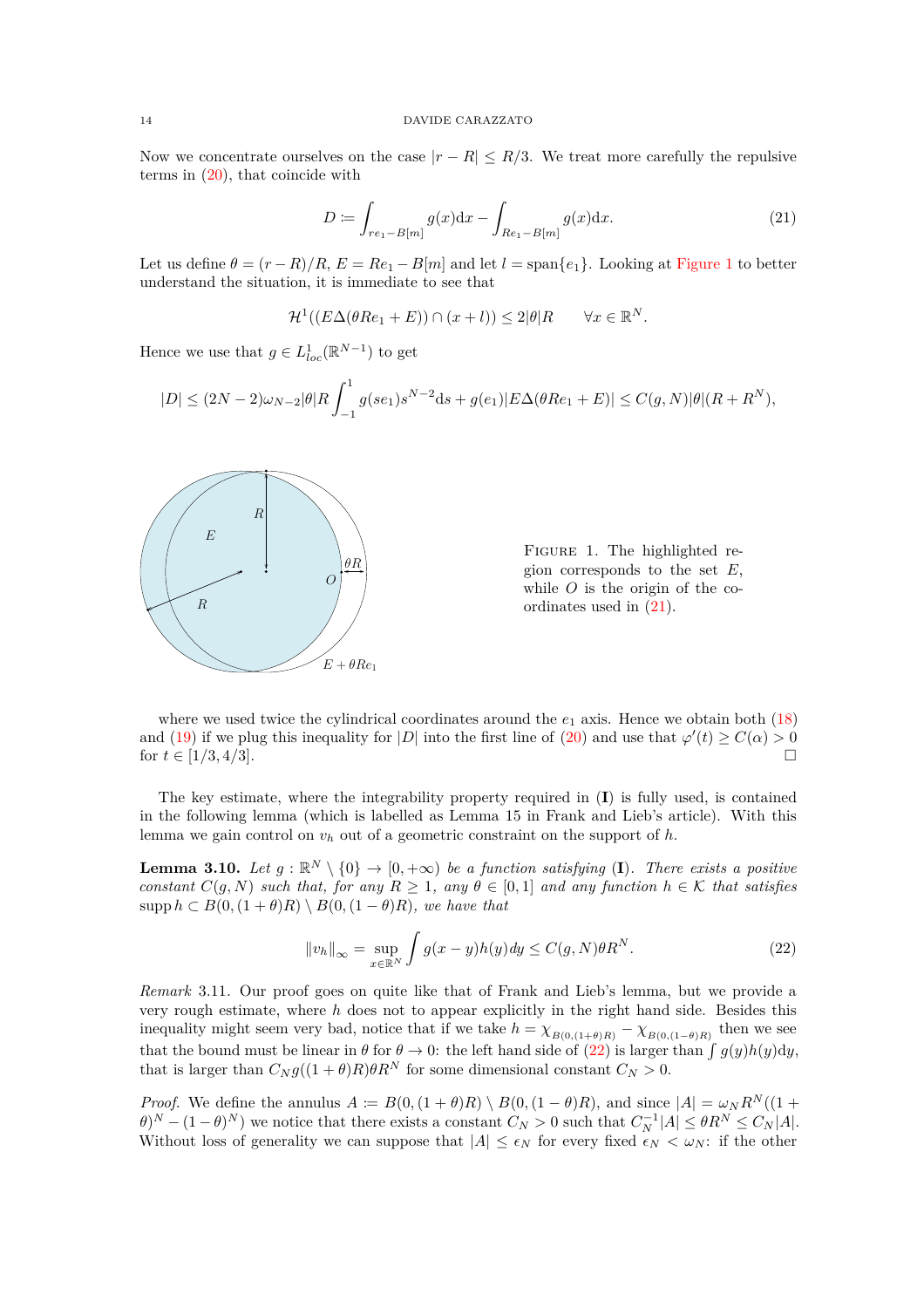Now we concentrate ourselves on the case  $|r - R| \leq R/3$ . We treat more carefully the repulsive terms in  $(20)$ , that coincide with

<span id="page-13-1"></span>
$$
D := \int_{re_1 - B[m]} g(x) dx - \int_{Re_1 - B[m]} g(x) dx.
$$
 (21)

Let us define  $\theta = (r - R)/R$ ,  $E = Re_1 - B[m]$  and let  $l = span\{e_1\}$ . Looking at [Figure 1](#page-13-0) to better understand the situation, it is immediate to see that

$$
\mathcal{H}^1((E\Delta(\theta Re_1 + E)) \cap (x+l)) \le 2|\theta|R \qquad \forall x \in \mathbb{R}^N.
$$

Hence we use that  $g \in L^1_{loc}(\mathbb{R}^{N-1})$  to get

$$
|D| \le (2N-2)\omega_{N-2}|\theta|R \int_{-1}^{1} g(se_1)s^{N-2}\mathrm{d}s + g(e_1)|E\Delta(\theta Re_1 + E)| \le C(g, N)|\theta|(R + R^N),
$$

<span id="page-13-0"></span>

Figure 1. The highlighted region corresponds to the set *E*, while *O* is the origin of the coordinates used in [\(21\)](#page-13-1).

where we used twice the cylindrical coordinates around the  $e_1$  axis. Hence we obtain both  $(18)$ and [\(19\)](#page-12-1) if we plug this inequality for |*D*| into the first line of [\(20\)](#page-12-2) and use that  $\varphi'(t) \ge C(\alpha) > 0$ for  $t \in [1/3, 4/3]$ .

The key estimate, where the integrability property required in (**I**) is fully used, is contained in the following lemma (which is labelled as Lemma 15 in Frank and Lieb's article). With this lemma we gain control on *v<sup>h</sup>* out of a geometric constraint on the support of *h*.

<span id="page-13-3"></span>**Lemma 3.10.** *Let*  $g : \mathbb{R}^N \setminus \{0\} \to [0, +\infty)$  *be a function satisfying* (I). There exists a positive *constant*  $C(g, N)$  *such that, for any*  $R \geq 1$ *, any*  $\theta \in [0, 1]$  *and any function*  $h \in K$  *that satisfies* supp  $h \subset B(0, (1+\theta)R) \setminus B(0, (1-\theta)R)$ *, we have that* 

<span id="page-13-2"></span>
$$
||v_h||_{\infty} = \sup_{x \in \mathbb{R}^N} \int g(x - y)h(y)dy \le C(g, N)\theta R^N.
$$
 (22)

*Remark* 3.11*.* Our proof goes on quite like that of Frank and Lieb's lemma, but we provide a very rough estimate, where *h* does not to appear explicitly in the right hand side. Besides this inequality might seem very bad, notice that if we take  $h = \chi_{B(0,(1+\theta)R)} - \chi_{B(0,(1-\theta)R)}$  then we see that the bound must be linear in  $\theta$  for  $\theta \to 0$ : the left hand side of  $(22)$  is larger than  $\int g(y)h(y)dy$ , that is larger than  $C_N g((1 + \theta)R) \theta R^N$  for some dimensional constant  $C_N > 0$ .

*Proof.* We define the annulus  $A := B(0, (1 + \theta)R) \setminus B(0, (1 - \theta)R)$ , and since  $|A| = \omega_N R^N((1 + \theta)R)$  $(\theta)^N - (1 - \theta)^N$  we notice that there exists a constant  $C_N > 0$  such that  $C_N^{-1}|A| \leq \theta R^N \leq C_N|A|$ . Without loss of generality we can suppose that  $|A| \leq \epsilon_N$  for every fixed  $\epsilon_N < \omega_N$ : if the other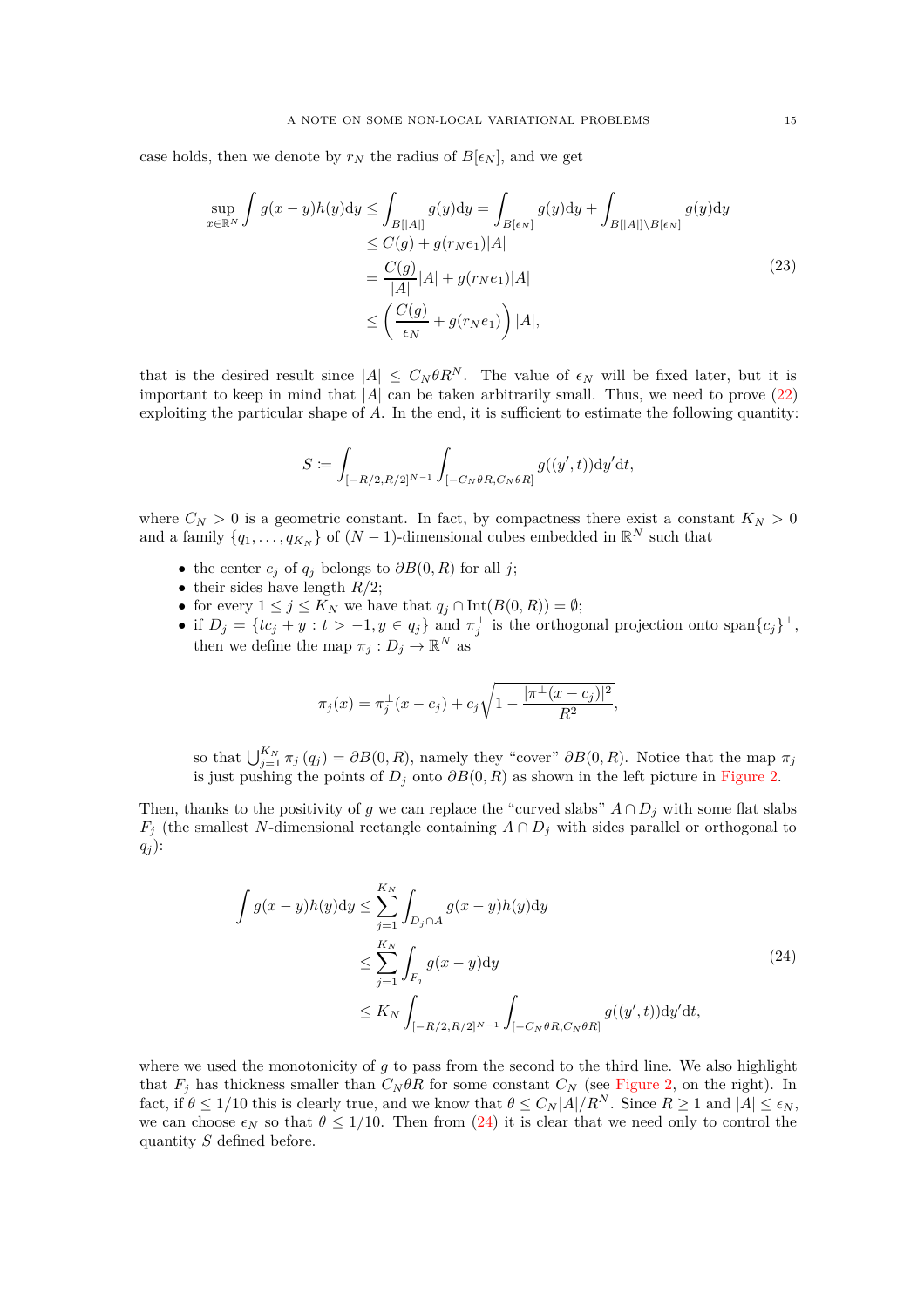case holds, then we denote by  $r_N$  the radius of  $B[\epsilon_N]$ , and we get

$$
\sup_{x \in \mathbb{R}^N} \int g(x - y)h(y)dy \le \int_{B[[A]]} g(y)dy = \int_{B[\epsilon_N]} g(y)dy + \int_{B[[A]] \setminus B[\epsilon_N]} g(y)dy
$$
  
\n
$$
\le C(g) + g(r_N e_1)|A|
$$
  
\n
$$
= \frac{C(g)}{|A|} |A| + g(r_N e_1)|A|
$$
  
\n
$$
\le \left(\frac{C(g)}{\epsilon_N} + g(r_N e_1)\right)|A|,
$$
\n(23)

that is the desired result since  $|A| \leq C_N \theta R^N$ . The value of  $\epsilon_N$  will be fixed later, but it is important to keep in mind that  $|A|$  can be taken arbitrarily small. Thus, we need to prove  $(22)$ exploiting the particular shape of *A*. In the end, it is sufficient to estimate the following quantity:

$$
S := \int_{[-R/2, R/2]^{N-1}} \int_{[-C_N \theta R, C_N \theta R]} g((y', t)) \mathrm{d}y' \mathrm{d}t,
$$

where  $C_N > 0$  is a geometric constant. In fact, by compactness there exist a constant  $K_N > 0$ and a family  $\{q_1, \ldots, q_{K_N}\}$  of  $(N-1)$ -dimensional cubes embedded in  $\mathbb{R}^N$  such that

- the center  $c_j$  of  $q_j$  belongs to  $\partial B(0, R)$  for all *j*;
- their sides have length  $R/2$ ;
- for every  $1 \leq j \leq K_N$  we have that  $q_j \cap \text{Int}(B(0,R)) = \emptyset$ ;
- if  $D_j = \{tc_j + y : t > -1, y \in q_j\}$  and  $\pi_j^{\perp}$  is the orthogonal projection onto span $\{c_j\}^{\perp}$ , then we define the map  $\pi_j: D_j \to \mathbb{R}^N$  as

$$
\pi_j(x) = \pi_j^{\perp}(x - c_j) + c_j \sqrt{1 - \frac{|\pi^{\perp}(x - c_j)|^2}{R^2}},
$$

so that  $\bigcup_{j=1}^{K_N} \pi_j(q_j) = \partial B(0, R)$ , namely they "cover"  $\partial B(0, R)$ . Notice that the map  $\pi_j$ is just pushing the points of  $D_j$  onto  $\partial B(0, R)$  as shown in the left picture in [Figure 2.](#page-15-0)

Then, thanks to the positivity of *g* we can replace the "curved slabs"  $A \cap D_j$  with some flat slabs *F*<sup>j</sup> (the smallest *N*-dimensional rectangle containing  $A \cap D_j$  with sides parallel or orthogonal to *q<sup>j</sup>* ):

$$
\int g(x-y)h(y)dy \le \sum_{j=1}^{K_N} \int_{D_j \cap A} g(x-y)h(y)dy
$$
\n
$$
\le \sum_{j=1}^{K_N} \int_{F_j} g(x-y)dy
$$
\n
$$
\le K_N \int_{[-R/2, R/2]^{N-1}} \int_{[-C_N \theta R, C_N \theta R]} g((y', t))dy'dt,
$$
\n(24)

<span id="page-14-0"></span>where we used the monotonicity of *g* to pass from the second to the third line. We also highlight that  $F_j$  has thickness smaller than  $C_N \theta R$  for some constant  $C_N$  (see [Figure 2,](#page-15-0) on the right). In fact, if  $\theta \leq 1/10$  this is clearly true, and we know that  $\theta \leq C_N |A|/R^N$ . Since  $R \geq 1$  and  $|A| \leq \epsilon_N$ , we can choose  $\epsilon_N$  so that  $\theta \leq 1/10$ . Then from [\(24\)](#page-14-0) it is clear that we need only to control the quantity *S* defined before.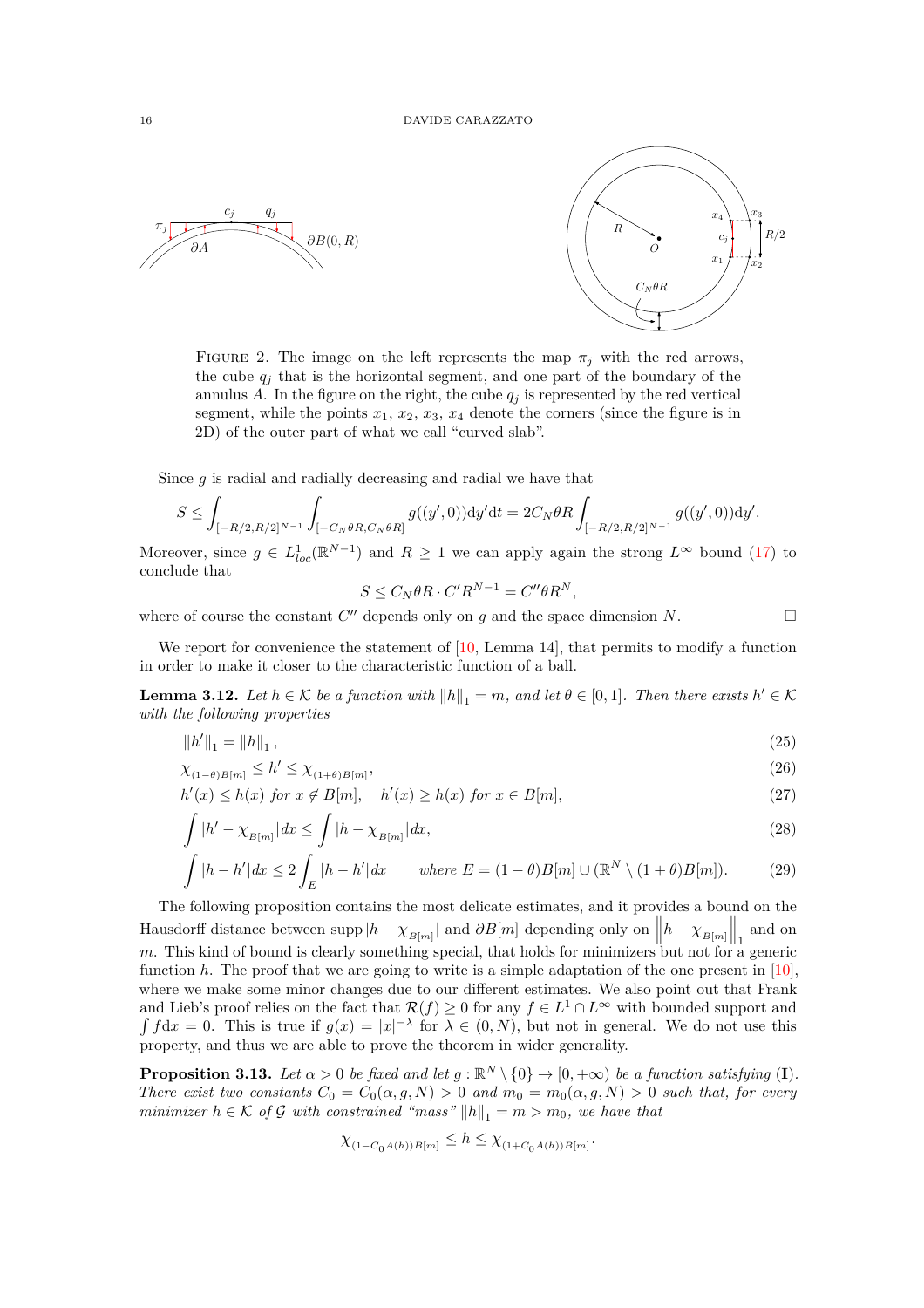<span id="page-15-0"></span>



FIGURE 2. The image on the left represents the map  $\pi_j$  with the red arrows, the cube  $q_i$  that is the horizontal segment, and one part of the boundary of the annulus  $A$ . In the figure on the right, the cube  $q_j$  is represented by the red vertical segment, while the points  $x_1, x_2, x_3, x_4$  denote the corners (since the figure is in 2D) of the outer part of what we call "curved slab".

Since *g* is radial and radially decreasing and radial we have that

$$
S\leq \int_{[-R/2,R/2]^{N-1}}\int_{[-C_N\theta R,C_N\theta R]}g((y',0))\mathrm{d}y'\mathrm{d}t=2C_N\theta R\int_{[-R/2,R/2]^{N-1}}g((y',0))\mathrm{d}y'.
$$

Moreover, since  $g \in L^1_{loc}(\mathbb{R}^{N-1})$  and  $R \geq 1$  we can apply again the strong  $L^{\infty}$  bound [\(17\)](#page-12-3) to conclude that

<span id="page-15-2"></span>
$$
S \le C_N \theta R \cdot C' R^{N-1} = C'' \theta R^N,
$$

where of course the constant  $C''$  depends only on  $g$  and the space dimension  $N$ .

We report for convenience the statement of [\[10,](#page-18-5) Lemma 14], that permits to modify a function in order to make it closer to the characteristic function of a ball.

<span id="page-15-1"></span>**Lemma 3.12.** *Let*  $h \in \mathcal{K}$  *be a function with*  $||h||_1 = m$ *, and let*  $\theta \in [0,1]$ *. Then there exists*  $h' \in \mathcal{K}$ *with the following properties*

$$
\|h'\|_1 = \|h\|_1,\tag{25}
$$

$$
\chi_{(1-\theta)B[m]} \le h' \le \chi_{(1+\theta)B[m]},\tag{26}
$$

$$
h'(x) \le h(x) \text{ for } x \notin B[m], \quad h'(x) \ge h(x) \text{ for } x \in B[m],
$$
\n
$$
(27)
$$

$$
\int |h' - \chi_{B[m]}| dx \le \int |h - \chi_{B[m]}| dx,
$$
\n(28)

$$
\int |h - h'| dx \le 2 \int_E |h - h'| dx \quad \text{where } E = (1 - \theta)B[m] \cup (\mathbb{R}^N \setminus (1 + \theta)B[m]). \tag{29}
$$

The following proposition contains the most delicate estimates, and it provides a bound on the Hausdorff distance between supp  $|h - \chi_{B[m]}|$  and  $\partial B[m]$  depending only on  $||h - \chi_{B[m]}||_1$  and on  $m$ . This kind of bound is clearly something special, that holds for minimizers but not for a generic function *h*. The proof that we are going to write is a simple adaptation of the one present in [\[10\]](#page-18-5), where we make some minor changes due to our different estimates. We also point out that Frank and Lieb's proof relies on the fact that  $\mathcal{R}(f) \geq 0$  for any  $f \in L^1 \cap L^{\infty}$  with bounded support and  $\int f dx = 0$ . This is true if  $g(x) = |x|^{-\lambda}$  for  $\lambda \in (0, N)$ , but not in general. We do not use this property, and thus we are able to prove the theorem in wider generality.

<span id="page-15-7"></span>**Proposition 3.13.** Let  $\alpha > 0$  be fixed and let  $g : \mathbb{R}^N \setminus \{0\} \to [0, +\infty)$  be a function satisfying (I). *There exist two constants*  $C_0 = C_0(\alpha, g, N) > 0$  *and*  $m_0 = m_0(\alpha, g, N) > 0$  *such that, for every minimizer*  $h \in \mathcal{K}$  *of* G *with constrained "mass"*  $||h||_1 = m > m_0$ , we have that

$$
\chi_{(1-C_0A(h))B[m]} \leq h \leq \chi_{(1+C_0A(h))B[m]}
$$

<span id="page-15-6"></span><span id="page-15-5"></span><span id="page-15-4"></span><span id="page-15-3"></span>*.*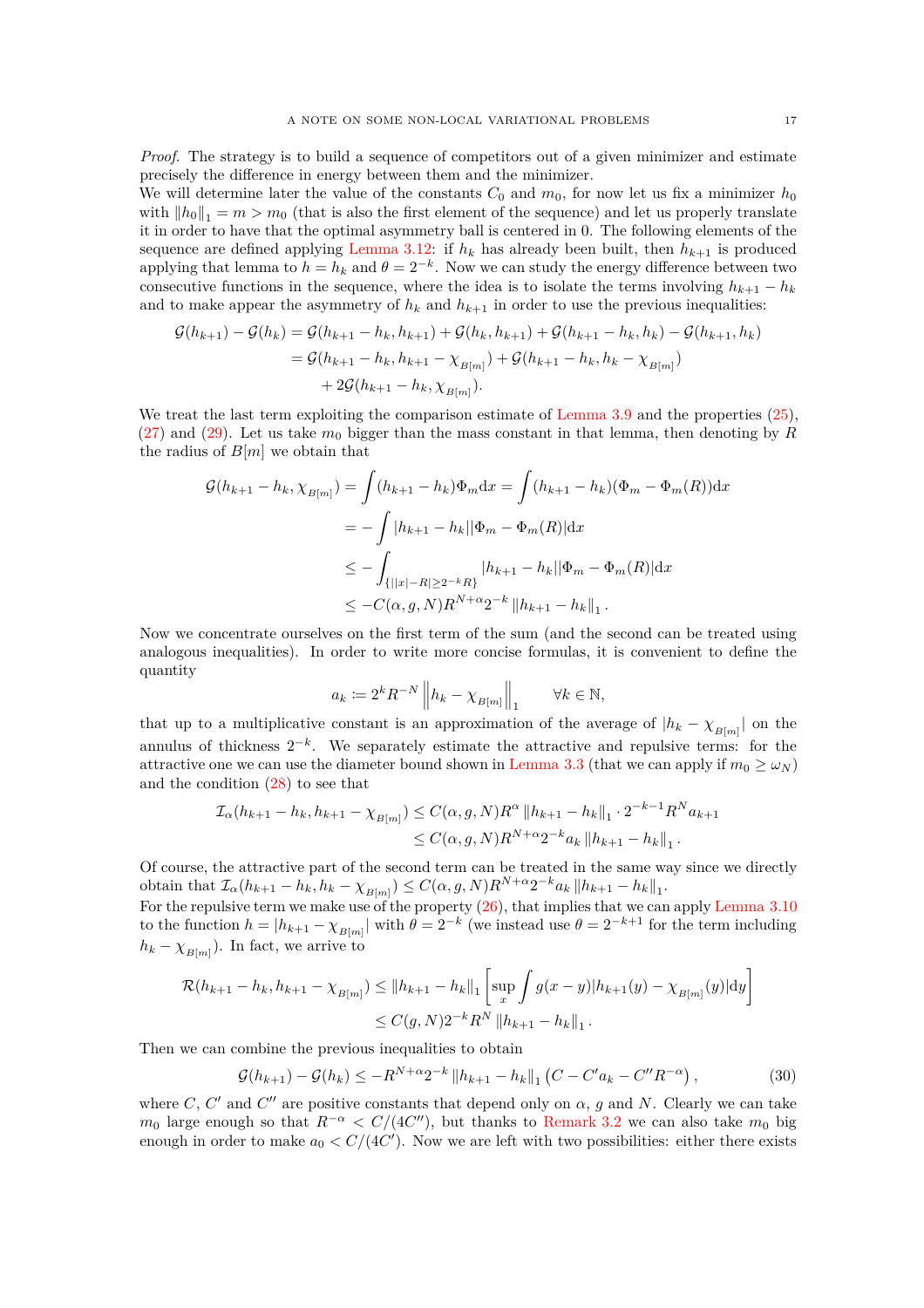*Proof.* The strategy is to build a sequence of competitors out of a given minimizer and estimate precisely the difference in energy between them and the minimizer.

We will determine later the value of the constants  $C_0$  and  $m_0$ , for now let us fix a minimizer  $h_0$ with  $||h_0||_1 = m > m_0$  (that is also the first element of the sequence) and let us properly translate it in order to have that the optimal asymmetry ball is centered in 0. The following elements of the sequence are defined applying [Lemma 3.12:](#page-15-1) if  $h_k$  has already been built, then  $h_{k+1}$  is produced applying that lemma to  $h = h_k$  and  $\theta = 2^{-k}$ . Now we can study the energy difference between two consecutive functions in the sequence, where the idea is to isolate the terms involving  $h_{k+1} - h_k$ and to make appear the asymmetry of  $h_k$  and  $h_{k+1}$  in order to use the previous inequalities:

$$
\mathcal{G}(h_{k+1}) - \mathcal{G}(h_k) = \mathcal{G}(h_{k+1} - h_k, h_{k+1}) + \mathcal{G}(h_k, h_{k+1}) + \mathcal{G}(h_{k+1} - h_k, h_k) - \mathcal{G}(h_{k+1}, h_k)
$$
  
=  $\mathcal{G}(h_{k+1} - h_k, h_{k+1} - \chi_{B[m]}) + \mathcal{G}(h_{k+1} - h_k, h_k - \chi_{B[m]})$   
+  $2\mathcal{G}(h_{k+1} - h_k, \chi_{B[m]})$ .

We treat the last term exploiting the comparison estimate of [Lemma 3.9](#page-12-4) and the properties  $(25)$ ,  $(27)$  and  $(29)$ . Let us take  $m_0$  bigger than the mass constant in that lemma, then denoting by *R* the radius of *B*[*m*] we obtain that

$$
\mathcal{G}(h_{k+1} - h_k, \chi_{B[m]}) = \int (h_{k+1} - h_k) \Phi_m \mathrm{d}x = \int (h_{k+1} - h_k) (\Phi_m - \Phi_m(R)) \mathrm{d}x
$$
  
= 
$$
- \int |h_{k+1} - h_k| |\Phi_m - \Phi_m(R)| \mathrm{d}x
$$
  

$$
\leq - \int_{\{| |x| - R| \geq 2^{-k} R\}} |h_{k+1} - h_k| |\Phi_m - \Phi_m(R)| \mathrm{d}x
$$
  

$$
\leq -C(\alpha, g, N) R^{N + \alpha} 2^{-k} \|h_{k+1} - h_k\|_1.
$$

Now we concentrate ourselves on the first term of the sum (and the second can be treated using analogous inequalities). In order to write more concise formulas, it is convenient to define the quantity

$$
a_k \coloneqq 2^k R^{-N}\left\| h_k - \chi_{B[m]} \right\|_1 \qquad \forall k \in \mathbb{N},
$$

that up to a multiplicative constant is an approximation of the average of  $|h_k - \chi_{B[m]}|$  on the annulus of thickness 2<sup>−</sup>*<sup>k</sup>* . We separately estimate the attractive and repulsive terms: for the attractive one we can use the diameter bound shown in [Lemma 3.3](#page-10-3) (that we can apply if  $m_0 \ge \omega_N$ ) and the condition [\(28\)](#page-15-5) to see that

$$
\mathcal{I}_{\alpha}(h_{k+1} - h_k, h_{k+1} - \chi_{B[m]}) \leq C(\alpha, g, N)R^{\alpha} \|h_{k+1} - h_k\|_1 \cdot 2^{-k-1}R^N a_{k+1}
$$
  

$$
\leq C(\alpha, g, N)R^{N+\alpha}2^{-k}a_k \|h_{k+1} - h_k\|_1.
$$

Of course, the attractive part of the second term can be treated in the same way since we directly obtain that  $\mathcal{I}_{\alpha}(h_{k+1} - h_k, h_k - \chi_{B[m]}) \leq C(\alpha, g, N) R^{N+\alpha} 2^{-k} a_k ||h_{k+1} - h_k||_1$ .

For the repulsive term we make use of the property  $(26)$ , that implies that we can apply [Lemma 3.10](#page-13-3) to the function  $h = |h_{k+1} - \chi_{B[m]}|$  with  $\theta = 2^{-k}$  (we instead use  $\theta = 2^{-k+1}$  for the term including  $h_k - \chi_{B[m]}$ ). In fact, we arrive to

$$
\mathcal{R}(h_{k+1} - h_k, h_{k+1} - \chi_{B[m]}) \le ||h_{k+1} - h_k||_1 \left[ \sup_x \int g(x - y) |h_{k+1}(y) - \chi_{B[m]}(y)| \, dy \right] \le C(g, N) 2^{-k} R^N \, ||h_{k+1} - h_k||_1 \, .
$$

Then we can combine the previous inequalities to obtain

<span id="page-16-0"></span>
$$
\mathcal{G}(h_{k+1}) - \mathcal{G}(h_k) \le -R^{N+\alpha} 2^{-k} \|h_{k+1} - h_k\|_1 (C - C' a_k - C'' R^{-\alpha}), \qquad (30)
$$

where *C*, *C'* and *C''* are positive constants that depend only on  $\alpha$ , *g* and *N*. Clearly we can take *m*<sup>0</sup> large enough so that  $R^{-\alpha} < C/(4C'')$ , but thanks to [Remark 3.2](#page-9-2) we can also take  $m_0$  big enough in order to make  $a_0 < C/(4C')$ . Now we are left with two possibilities: either there exists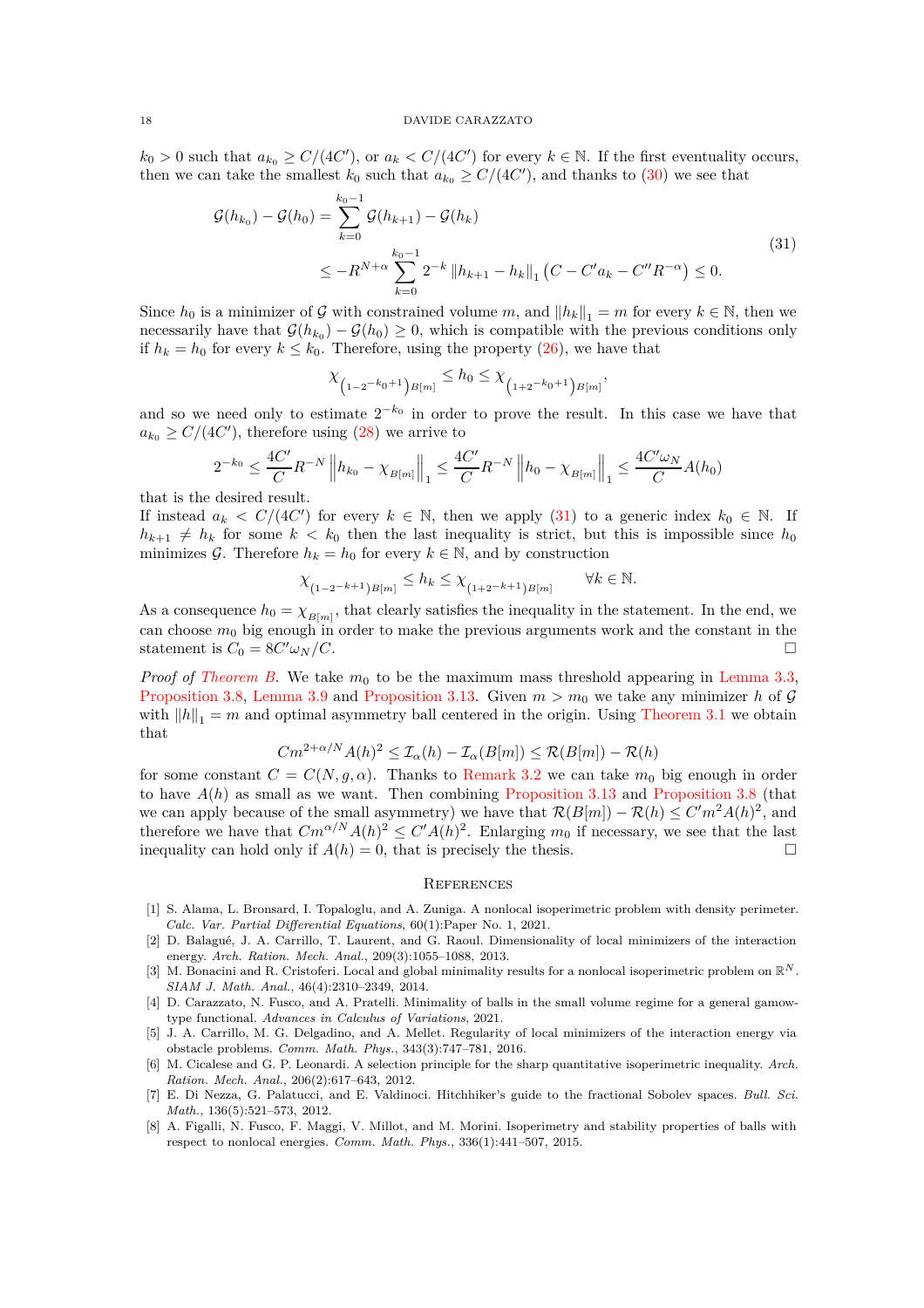$k_0 > 0$  such that  $a_{k_0} \ge C/(4C')$ , or  $a_k < C/(4C')$  for every  $k \in \mathbb{N}$ . If the first eventuality occurs, then we can take the smallest  $k_0$  such that  $a_{k_0} \ge C/(4C')$ , and thanks to [\(30\)](#page-16-0) we see that

$$
G(h_{k_0}) - G(h_0) = \sum_{k=0}^{k_0 - 1} G(h_{k+1}) - G(h_k)
$$
  
\n
$$
\leq -R^{N+\alpha} \sum_{k=0}^{k_0 - 1} 2^{-k} \|h_{k+1} - h_k\|_1 (C - C'a_k - C''R^{-\alpha}) \leq 0.
$$
\n(31)

<span id="page-17-8"></span>Since  $h_0$  is a minimizer of G with constrained volume m, and  $||h_k||_1 = m$  for every  $k \in \mathbb{N}$ , then we necessarily have that  $\mathcal{G}(h_{k_0}) - \mathcal{G}(h_0) \geq 0$ , which is compatible with the previous conditions only if  $h_k = h_0$  for every  $k \leq k_0$ . Therefore, using the property [\(26\)](#page-15-6), we have that

$$
\chi_{\left(1-2^{-k_0+1}\right)B[m]} \leq h_0 \leq \chi_{\left(1+2^{-k_0+1}\right)B[m]},
$$

and so we need only to estimate 2−*k*<sup>0</sup> in order to prove the result. In this case we have that  $a_{k_0} \ge C/(4C')$ , therefore using [\(28\)](#page-15-5) we arrive to

$$
2^{-k_0} \le \frac{4C'}{C} R^{-N} \left\| h_{k_0} - \chi_{B[m]} \right\|_1 \le \frac{4C'}{C} R^{-N} \left\| h_0 - \chi_{B[m]} \right\|_1 \le \frac{4C'\omega_N}{C} A(h_0)
$$

that is the desired result.

If instead  $a_k < C/(4C')$  for every  $k \in \mathbb{N}$ , then we apply [\(31\)](#page-17-8) to a generic index  $k_0 \in \mathbb{N}$ . If  $h_{k+1} \neq h_k$  for some  $k < k_0$  then the last inequality is strict, but this is impossible since  $h_0$ minimizes G. Therefore  $h_k = h_0$  for every  $k \in \mathbb{N}$ , and by construction

$$
\chi_{(1-2^{-k+1})B[m]} \leq h_k \leq \chi_{(1+2^{-k+1})B[m]} \qquad \forall k \in \mathbb{N}.
$$

As a consequence  $h_0 = \chi_{B[m]}$ , that clearly satisfies the inequality in the statement. In the end, we can choose  $m_0$  big enough in order to make the previous arguments work and the constant in the statement is  $C_0 = 8C'\omega_N/C$ .  $\int \omega_N/C.$ 

*Proof of [Theorem B.](#page-1-1)* We take  $m_0$  to be the maximum mass threshold appearing in [Lemma 3.3,](#page-10-3) [Proposition 3.8,](#page-11-0) [Lemma 3.9](#page-12-4) and [Proposition 3.13.](#page-15-7) Given  $m > m_0$  we take any minimizer h of G with  $||h||_1 = m$  and optimal asymmetry ball centered in the origin. Using [Theorem 3.1](#page-9-1) we obtain that

$$
Cm^{2+\alpha/N}A(h)^2 \leq \mathcal{I}_{\alpha}(h) - \mathcal{I}_{\alpha}(B[m]) \leq \mathcal{R}(B[m]) - \mathcal{R}(h)
$$

for some constant  $C = C(N, g, \alpha)$ . Thanks to [Remark 3.2](#page-9-2) we can take  $m_0$  big enough in order to have  $A(h)$  as small as we want. Then combining [Proposition 3.13](#page-15-7) and [Proposition 3.8](#page-11-0) (that we can apply because of the small asymmetry) we have that  $\mathcal{R}(B[m]) - \mathcal{R}(h) \leq C'm^2A(h)^2$ , and therefore we have that  $Cm^{\alpha/N}A(h)^2 \leq C'A(h)^2$ . Enlarging  $m_0$  if necessary, we see that the last inequality can hold only if  $A(h) = 0$ , that is precisely the thesis.

### **REFERENCES**

- <span id="page-17-3"></span>[1] S. Alama, L. Bronsard, I. Topaloglu, and A. Zuniga. A nonlocal isoperimetric problem with density perimeter. *Calc. Var. Partial Differential Equations*, 60(1):Paper No. 1, 2021.
- <span id="page-17-4"></span>[2] D. Balagu´e, J. A. Carrillo, T. Laurent, and G. Raoul. Dimensionality of local minimizers of the interaction energy. *Arch. Ration. Mech. Anal.*, 209(3):1055–1088, 2013.
- <span id="page-17-0"></span>[3] M. Bonacini and R. Cristoferi. Local and global minimality results for a nonlocal isoperimetric problem on R*<sup>N</sup>* . *SIAM J. Math. Anal.*, 46(4):2310–2349, 2014.
- <span id="page-17-2"></span>[4] D. Carazzato, N. Fusco, and A. Pratelli. Minimality of balls in the small volume regime for a general gamowtype functional. *Advances in Calculus of Variations*, 2021.
- <span id="page-17-5"></span>[5] J. A. Carrillo, M. G. Delgadino, and A. Mellet. Regularity of local minimizers of the interaction energy via obstacle problems. *Comm. Math. Phys.*, 343(3):747–781, 2016.
- <span id="page-17-6"></span>[6] M. Cicalese and G. P. Leonardi. A selection principle for the sharp quantitative isoperimetric inequality. *Arch. Ration. Mech. Anal.*, 206(2):617–643, 2012.
- <span id="page-17-7"></span>[7] E. Di Nezza, G. Palatucci, and E. Valdinoci. Hitchhiker's guide to the fractional Sobolev spaces. *Bull. Sci. Math.*, 136(5):521–573, 2012.
- <span id="page-17-1"></span>[8] A. Figalli, N. Fusco, F. Maggi, V. Millot, and M. Morini. Isoperimetry and stability properties of balls with respect to nonlocal energies. *Comm. Math. Phys.*, 336(1):441–507, 2015.